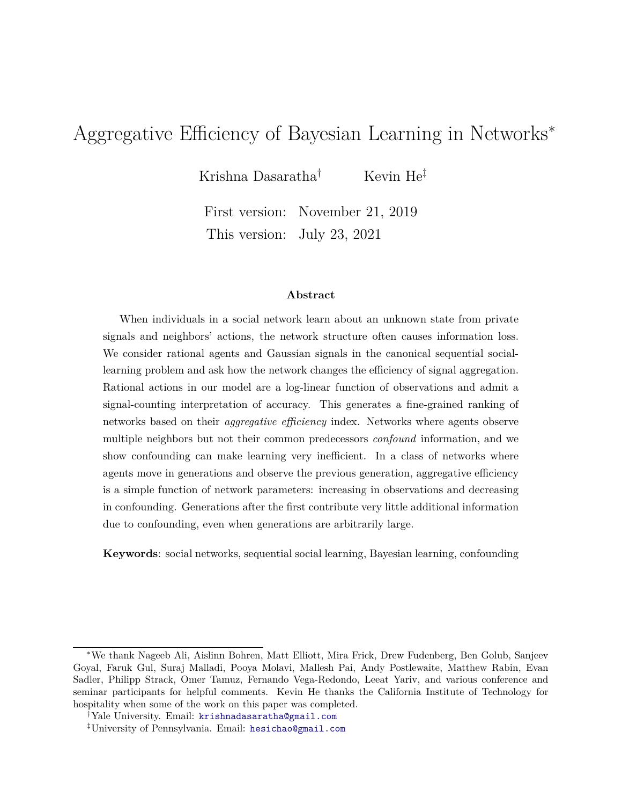# Aggregative Efficiency of Bayesian Learning in Networks<sup>∗</sup>

Krishna Dasaratha<sup>†</sup> Kevin He<sup>‡</sup>

First version: November 21, 2019 This version: July 23, 2021

#### **Abstract**

When individuals in a social network learn about an unknown state from private signals and neighbors' actions, the network structure often causes information loss. We consider rational agents and Gaussian signals in the canonical sequential sociallearning problem and ask how the network changes the efficiency of signal aggregation. Rational actions in our model are a log-linear function of observations and admit a signal-counting interpretation of accuracy. This generates a fine-grained ranking of networks based on their *aggregative efficiency* index. Networks where agents observe multiple neighbors but not their common predecessors *confound* information, and we show confounding can make learning very inefficient. In a class of networks where agents move in generations and observe the previous generation, aggregative efficiency is a simple function of network parameters: increasing in observations and decreasing in confounding. Generations after the first contribute very little additional information due to confounding, even when generations are arbitrarily large.

**Keywords**: social networks, sequential social learning, Bayesian learning, confounding

<sup>∗</sup>We thank Nageeb Ali, Aislinn Bohren, Matt Elliott, Mira Frick, Drew Fudenberg, Ben Golub, Sanjeev Goyal, Faruk Gul, Suraj Malladi, Pooya Molavi, Mallesh Pai, Andy Postlewaite, Matthew Rabin, Evan Sadler, Philipp Strack, Omer Tamuz, Fernando Vega-Redondo, Leeat Yariv, and various conference and seminar participants for helpful comments. Kevin He thanks the California Institute of Technology for hospitality when some of the work on this paper was completed.

<sup>†</sup>Yale University. Email: [krishnadasaratha@gmail.com](mailto:krishnadasaratha@gmail.com)

<sup>‡</sup>University of Pennsylvania. Email: [hesichao@gmail.com](mailto:hesichao@gmail.com)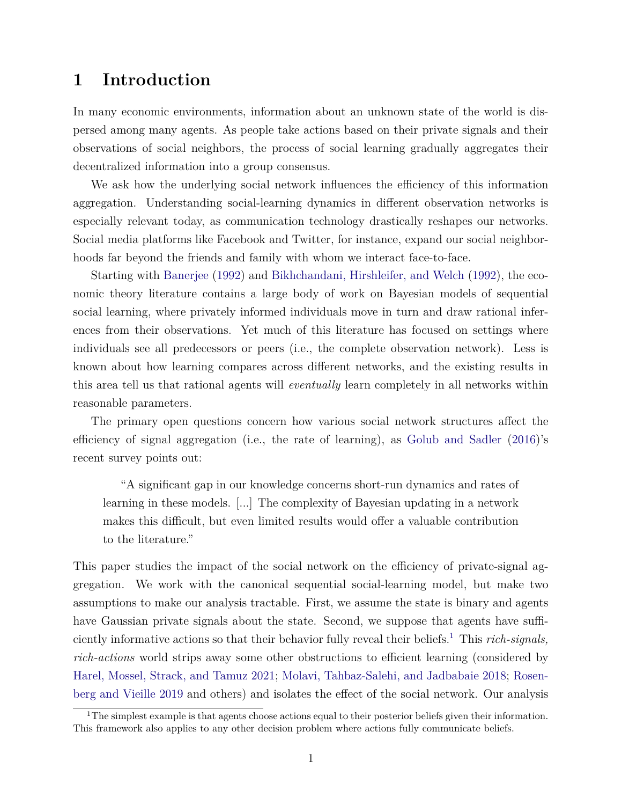### **1 Introduction**

In many economic environments, information about an unknown state of the world is dispersed among many agents. As people take actions based on their private signals and their observations of social neighbors, the process of social learning gradually aggregates their decentralized information into a group consensus.

We ask how the underlying social network influences the efficiency of this information aggregation. Understanding social-learning dynamics in different observation networks is especially relevant today, as communication technology drastically reshapes our networks. Social media platforms like Facebook and Twitter, for instance, expand our social neighborhoods far beyond the friends and family with whom we interact face-to-face.

Starting with [Banerjee](#page-24-0) [\(1992\)](#page-24-0) and [Bikhchandani, Hirshleifer, and Welch](#page-24-1) [\(1992\)](#page-24-1), the economic theory literature contains a large body of work on Bayesian models of sequential social learning, where privately informed individuals move in turn and draw rational inferences from their observations. Yet much of this literature has focused on settings where individuals see all predecessors or peers (i.e., the complete observation network). Less is known about how learning compares across different networks, and the existing results in this area tell us that rational agents will *eventually* learn completely in all networks within reasonable parameters.

The primary open questions concern how various social network structures affect the efficiency of signal aggregation (i.e., the rate of learning), as [Golub and Sadler](#page-25-0) [\(2016\)](#page-25-0)'s recent survey points out:

"A significant gap in our knowledge concerns short-run dynamics and rates of learning in these models. [...] The complexity of Bayesian updating in a network makes this difficult, but even limited results would offer a valuable contribution to the literature."

This paper studies the impact of the social network on the efficiency of private-signal aggregation. We work with the canonical sequential social-learning model, but make two assumptions to make our analysis tractable. First, we assume the state is binary and agents have Gaussian private signals about the state. Second, we suppose that agents have sufficiently informative actions so that their behavior fully reveal their beliefs.[1](#page-1-0) This *rich-signals, rich-actions* world strips away some other obstructions to efficient learning (considered by [Harel, Mossel, Strack, and Tamuz](#page-25-1) [2021;](#page-25-1) [Molavi, Tahbaz-Salehi, and Jadbabaie](#page-25-2) [2018;](#page-25-2) [Rosen](#page-26-0)[berg and Vieille](#page-26-0) [2019](#page-26-0) and others) and isolates the effect of the social network. Our analysis

<span id="page-1-0"></span><sup>&</sup>lt;sup>1</sup>The simplest example is that agents choose actions equal to their posterior beliefs given their information. This framework also applies to any other decision problem where actions fully communicate beliefs.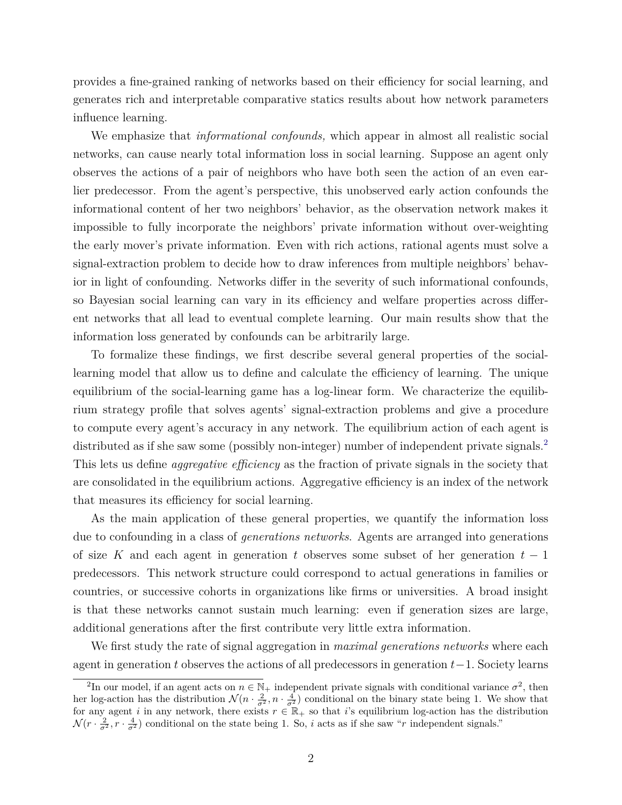provides a fine-grained ranking of networks based on their efficiency for social learning, and generates rich and interpretable comparative statics results about how network parameters influence learning.

We emphasize that *informational confounds,* which appear in almost all realistic social networks, can cause nearly total information loss in social learning. Suppose an agent only observes the actions of a pair of neighbors who have both seen the action of an even earlier predecessor. From the agent's perspective, this unobserved early action confounds the informational content of her two neighbors' behavior, as the observation network makes it impossible to fully incorporate the neighbors' private information without over-weighting the early mover's private information. Even with rich actions, rational agents must solve a signal-extraction problem to decide how to draw inferences from multiple neighbors' behavior in light of confounding. Networks differ in the severity of such informational confounds, so Bayesian social learning can vary in its efficiency and welfare properties across different networks that all lead to eventual complete learning. Our main results show that the information loss generated by confounds can be arbitrarily large.

To formalize these findings, we first describe several general properties of the sociallearning model that allow us to define and calculate the efficiency of learning. The unique equilibrium of the social-learning game has a log-linear form. We characterize the equilibrium strategy profile that solves agents' signal-extraction problems and give a procedure to compute every agent's accuracy in any network. The equilibrium action of each agent is distributed as if she saw some (possibly non-integer) number of independent private signals.<sup>[2](#page-2-0)</sup> This lets us define *aggregative efficiency* as the fraction of private signals in the society that are consolidated in the equilibrium actions. Aggregative efficiency is an index of the network that measures its efficiency for social learning.

As the main application of these general properties, we quantify the information loss due to confounding in a class of *generations networks*. Agents are arranged into generations of size *K* and each agent in generation *t* observes some subset of her generation *t* − 1 predecessors. This network structure could correspond to actual generations in families or countries, or successive cohorts in organizations like firms or universities. A broad insight is that these networks cannot sustain much learning: even if generation sizes are large, additional generations after the first contribute very little extra information.

We first study the rate of signal aggregation in *maximal generations networks* where each agent in generation *t* observes the actions of all predecessors in generation *t*−1*.* Society learns

<span id="page-2-0"></span><sup>&</sup>lt;sup>2</sup>In our model, if an agent acts on  $n \in \mathbb{N}_+$  independent private signals with conditional variance  $\sigma^2$ , then her log-action has the distribution  $\mathcal{N}(n \cdot \frac{2}{\sigma^2}, n \cdot \frac{4}{\sigma^2})$  conditional on the binary state being 1. We show that for any agent *i* in any network, there exists  $r \in \mathbb{R}_+$  so that *i*'s equilibrium log-action has the distribution  $\mathcal{N}(r \cdot \frac{2}{\sigma^2}, r \cdot \frac{4}{\sigma^2})$  conditional on the state being 1. So, *i* acts as if she saw "*r* independent signals."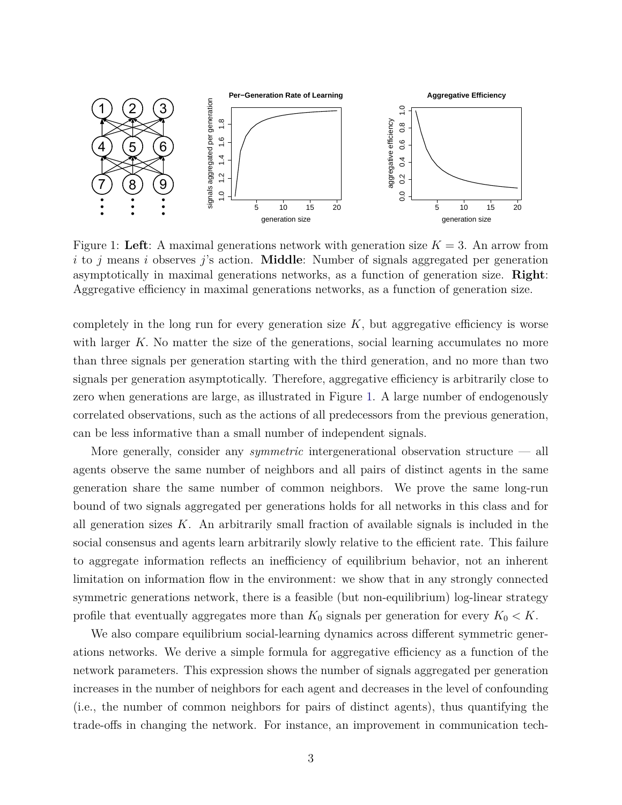<span id="page-3-0"></span>

Figure 1: Left: A maximal generations network with generation size  $K = 3$ . An arrow from *i* to *j* means *i* observes *j*'s action. **Middle**: Number of signals aggregated per generation asymptotically in maximal generations networks, as a function of generation size. **Right**: Aggregative efficiency in maximal generations networks, as a function of generation size.

completely in the long run for every generation size  $K$ , but aggregative efficiency is worse with larger K. No matter the size of the generations, social learning accumulates no more than three signals per generation starting with the third generation, and no more than two signals per generation asymptotically. Therefore, aggregative efficiency is arbitrarily close to zero when generations are large, as illustrated in Figure [1.](#page-3-0) A large number of endogenously correlated observations, such as the actions of all predecessors from the previous generation, can be less informative than a small number of independent signals.

More generally, consider any *symmetric* intergenerational observation structure — all agents observe the same number of neighbors and all pairs of distinct agents in the same generation share the same number of common neighbors. We prove the same long-run bound of two signals aggregated per generations holds for all networks in this class and for all generation sizes  $K$ . An arbitrarily small fraction of available signals is included in the social consensus and agents learn arbitrarily slowly relative to the efficient rate. This failure to aggregate information reflects an inefficiency of equilibrium behavior, not an inherent limitation on information flow in the environment: we show that in any strongly connected symmetric generations network, there is a feasible (but non-equilibrium) log-linear strategy profile that eventually aggregates more than  $K_0$  signals per generation for every  $K_0 < K$ .

We also compare equilibrium social-learning dynamics across different symmetric generations networks. We derive a simple formula for aggregative efficiency as a function of the network parameters. This expression shows the number of signals aggregated per generation increases in the number of neighbors for each agent and decreases in the level of confounding (i.e., the number of common neighbors for pairs of distinct agents), thus quantifying the trade-offs in changing the network. For instance, an improvement in communication tech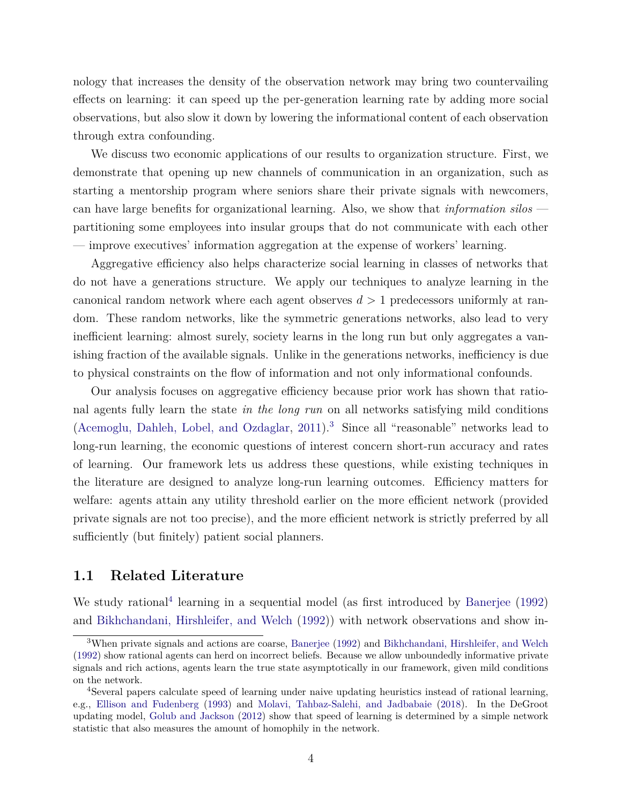nology that increases the density of the observation network may bring two countervailing effects on learning: it can speed up the per-generation learning rate by adding more social observations, but also slow it down by lowering the informational content of each observation through extra confounding.

We discuss two economic applications of our results to organization structure. First, we demonstrate that opening up new channels of communication in an organization, such as starting a mentorship program where seniors share their private signals with newcomers, can have large benefits for organizational learning. Also, we show that *information silos* partitioning some employees into insular groups that do not communicate with each other — improve executives' information aggregation at the expense of workers' learning.

Aggregative efficiency also helps characterize social learning in classes of networks that do not have a generations structure. We apply our techniques to analyze learning in the canonical random network where each agent observes *d >* 1 predecessors uniformly at random. These random networks, like the symmetric generations networks, also lead to very inefficient learning: almost surely, society learns in the long run but only aggregates a vanishing fraction of the available signals. Unlike in the generations networks, inefficiency is due to physical constraints on the flow of information and not only informational confounds.

Our analysis focuses on aggregative efficiency because prior work has shown that rational agents fully learn the state *in the long run* on all networks satisfying mild conditions [\(Acemoglu, Dahleh, Lobel, and Ozdaglar,](#page-23-0) [2011\)](#page-23-0).[3](#page-4-0) Since all "reasonable" networks lead to long-run learning, the economic questions of interest concern short-run accuracy and rates of learning. Our framework lets us address these questions, while existing techniques in the literature are designed to analyze long-run learning outcomes. Efficiency matters for welfare: agents attain any utility threshold earlier on the more efficient network (provided private signals are not too precise), and the more efficient network is strictly preferred by all sufficiently (but finitely) patient social planners.

### **1.1 Related Literature**

We study rational<sup>[4](#page-4-1)</sup> learning in a sequential model (as first introduced by [Banerjee](#page-24-0) [\(1992\)](#page-24-0) and [Bikhchandani, Hirshleifer, and Welch](#page-24-1) [\(1992\)](#page-24-1)) with network observations and show in-

<span id="page-4-0"></span><sup>3</sup>When private signals and actions are coarse, [Banerjee](#page-24-0) [\(1992\)](#page-24-0) and [Bikhchandani, Hirshleifer, and Welch](#page-24-1) [\(1992\)](#page-24-1) show rational agents can herd on incorrect beliefs. Because we allow unboundedly informative private signals and rich actions, agents learn the true state asymptotically in our framework, given mild conditions on the network.

<span id="page-4-1"></span><sup>4</sup>Several papers calculate speed of learning under naive updating heuristics instead of rational learning, e.g., [Ellison and Fudenberg](#page-24-2) [\(1993\)](#page-24-2) and [Molavi, Tahbaz-Salehi, and Jadbabaie](#page-25-2) [\(2018\)](#page-25-2). In the DeGroot updating model, [Golub and Jackson](#page-25-3) [\(2012\)](#page-25-3) show that speed of learning is determined by a simple network statistic that also measures the amount of homophily in the network.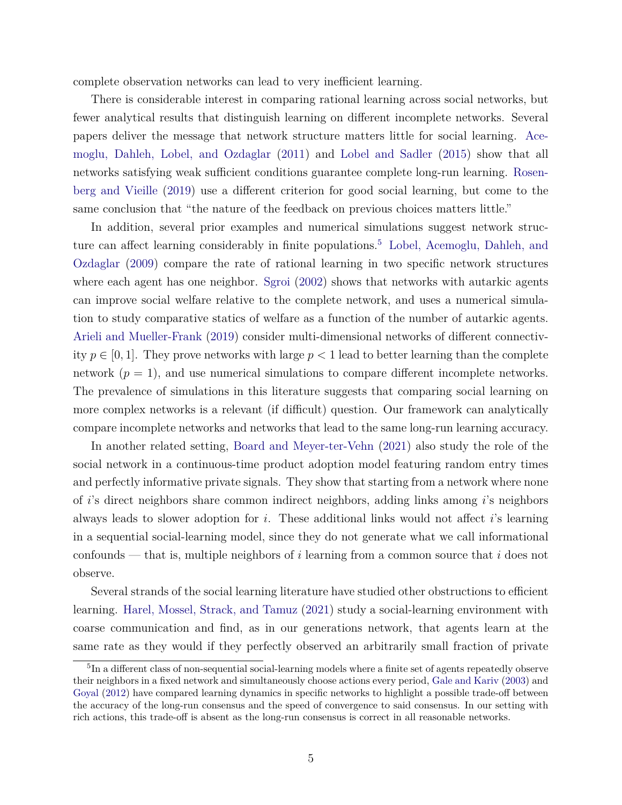complete observation networks can lead to very inefficient learning.

There is considerable interest in comparing rational learning across social networks, but fewer analytical results that distinguish learning on different incomplete networks. Several papers deliver the message that network structure matters little for social learning. [Ace](#page-23-0)[moglu, Dahleh, Lobel, and Ozdaglar](#page-23-0) [\(2011\)](#page-23-0) and [Lobel and Sadler](#page-25-4) [\(2015\)](#page-25-4) show that all networks satisfying weak sufficient conditions guarantee complete long-run learning. [Rosen](#page-26-0)[berg and Vieille](#page-26-0) [\(2019\)](#page-26-0) use a different criterion for good social learning, but come to the same conclusion that "the nature of the feedback on previous choices matters little."

In addition, several prior examples and numerical simulations suggest network struc-ture can affect learning considerably in finite populations.<sup>[5](#page-5-0)</sup> [Lobel, Acemoglu, Dahleh, and](#page-25-5) [Ozdaglar](#page-25-5) [\(2009\)](#page-25-5) compare the rate of rational learning in two specific network structures where each agent has one neighbor. [Sgroi](#page-26-1) [\(2002\)](#page-26-1) shows that networks with autarkic agents can improve social welfare relative to the complete network, and uses a numerical simulation to study comparative statics of welfare as a function of the number of autarkic agents. [Arieli and Mueller-Frank](#page-24-3) [\(2019\)](#page-24-3) consider multi-dimensional networks of different connectivity  $p \in [0, 1]$ . They prove networks with large  $p < 1$  lead to better learning than the complete network  $(p = 1)$ , and use numerical simulations to compare different incomplete networks. The prevalence of simulations in this literature suggests that comparing social learning on more complex networks is a relevant (if difficult) question. Our framework can analytically compare incomplete networks and networks that lead to the same long-run learning accuracy.

In another related setting, [Board and Meyer-ter-Vehn](#page-24-4) [\(2021\)](#page-24-4) also study the role of the social network in a continuous-time product adoption model featuring random entry times and perfectly informative private signals. They show that starting from a network where none of *i*'s direct neighbors share common indirect neighbors, adding links among *i*'s neighbors always leads to slower adoption for *i*. These additional links would not affect *i*'s learning in a sequential social-learning model, since they do not generate what we call informational confounds — that is, multiple neighbors of *i* learning from a common source that *i* does not observe.

Several strands of the social learning literature have studied other obstructions to efficient learning. [Harel, Mossel, Strack, and Tamuz](#page-25-1) [\(2021\)](#page-25-1) study a social-learning environment with coarse communication and find, as in our generations network, that agents learn at the same rate as they would if they perfectly observed an arbitrarily small fraction of private

<span id="page-5-0"></span><sup>&</sup>lt;sup>5</sup>In a different class of non-sequential social-learning models where a finite set of agents repeatedly observe their neighbors in a fixed network and simultaneously choose actions every period, [Gale and Kariv](#page-24-5) [\(2003\)](#page-24-5) and [Goyal](#page-25-6) [\(2012\)](#page-25-6) have compared learning dynamics in specific networks to highlight a possible trade-off between the accuracy of the long-run consensus and the speed of convergence to said consensus. In our setting with rich actions, this trade-off is absent as the long-run consensus is correct in all reasonable networks.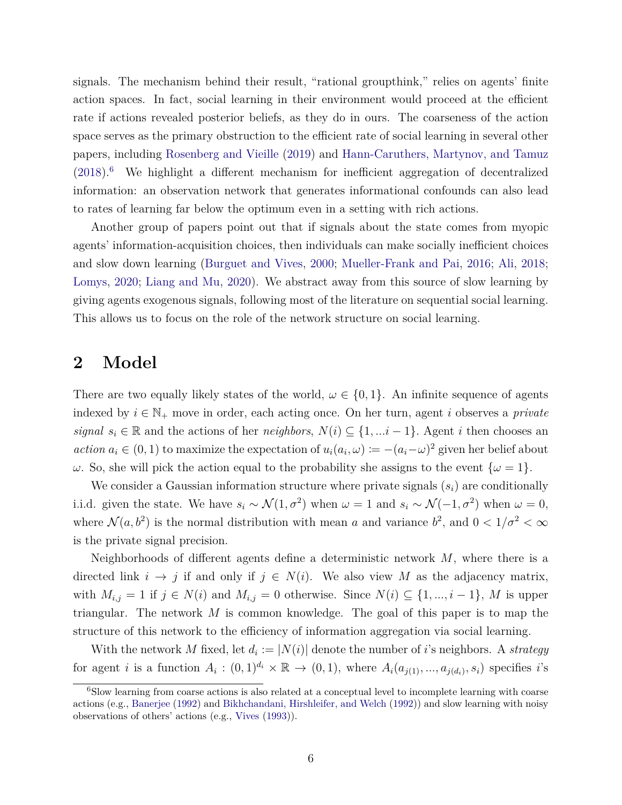signals. The mechanism behind their result, "rational groupthink," relies on agents' finite action spaces. In fact, social learning in their environment would proceed at the efficient rate if actions revealed posterior beliefs, as they do in ours. The coarseness of the action space serves as the primary obstruction to the efficient rate of social learning in several other papers, including [Rosenberg and Vieille](#page-26-0) [\(2019\)](#page-26-0) and [Hann-Caruthers, Martynov, and Tamuz](#page-25-7)  $(2018).<sup>6</sup>$  $(2018).<sup>6</sup>$  $(2018).<sup>6</sup>$  $(2018).<sup>6</sup>$  We highlight a different mechanism for inefficient aggregation of decentralized information: an observation network that generates informational confounds can also lead to rates of learning far below the optimum even in a setting with rich actions.

Another group of papers point out that if signals about the state comes from myopic agents' information-acquisition choices, then individuals can make socially inefficient choices and slow down learning [\(Burguet and Vives,](#page-24-6) [2000;](#page-24-6) [Mueller-Frank and Pai,](#page-25-8) [2016;](#page-25-8) [Ali,](#page-23-1) [2018;](#page-23-1) [Lomys,](#page-25-9) [2020;](#page-25-9) [Liang and Mu,](#page-25-10) [2020\)](#page-25-10). We abstract away from this source of slow learning by giving agents exogenous signals, following most of the literature on sequential social learning. This allows us to focus on the role of the network structure on social learning.

### **2 Model**

There are two equally likely states of the world,  $\omega \in \{0,1\}$ . An infinite sequence of agents indexed by  $i \in \mathbb{N}_+$  move in order, each acting once. On her turn, agent *i* observes a *private signal*  $s_i \in \mathbb{R}$  and the actions of her *neighbors*,  $N(i) \subseteq \{1, \ldots i-1\}$ . Agent *i* then chooses an *action*  $a_i \in (0,1)$  to maximize the expectation of  $u_i(a_i,\omega) := -(a_i-\omega)^2$  given her belief about *ω*. So, she will pick the action equal to the probability she assigns to the event  $\{\omega = 1\}$ .

We consider a Gaussian information structure where private signals (*si*) are conditionally i.i.d. given the state. We have  $s_i \sim \mathcal{N}(1, \sigma^2)$  when  $\omega = 1$  and  $s_i \sim \mathcal{N}(-1, \sigma^2)$  when  $\omega = 0$ , where  $\mathcal{N}(a, b^2)$  is the normal distribution with mean *a* and variance  $b^2$ , and  $0 < 1/\sigma^2 < \infty$ is the private signal precision.

Neighborhoods of different agents define a deterministic network *M*, where there is a directed link  $i \to j$  if and only if  $j \in N(i)$ . We also view M as the adjacency matrix, with  $M_{i,j} = 1$  if  $j \in N(i)$  and  $M_{i,j} = 0$  otherwise. Since  $N(i) \subseteq \{1, ..., i-1\}$ , M is upper triangular. The network *M* is common knowledge. The goal of this paper is to map the structure of this network to the efficiency of information aggregation via social learning.

With the network *M* fixed, let  $d_i := |N(i)|$  denote the number of *i*'s neighbors. A *strategy* for agent *i* is a function  $A_i : (0,1)^{d_i} \times \mathbb{R} \to (0,1)$ , where  $A_i(a_{j(1)},...,a_{j(d_i)},s_i)$  specifies *i*'s

<span id="page-6-0"></span><sup>&</sup>lt;sup>6</sup>Slow learning from coarse actions is also related at a conceptual level to incomplete learning with coarse actions (e.g., [Banerjee](#page-24-0) [\(1992\)](#page-24-0) and [Bikhchandani, Hirshleifer, and Welch](#page-24-1) [\(1992\)](#page-24-1)) and slow learning with noisy observations of others' actions (e.g., [Vives](#page-26-2) [\(1993\)](#page-26-2)).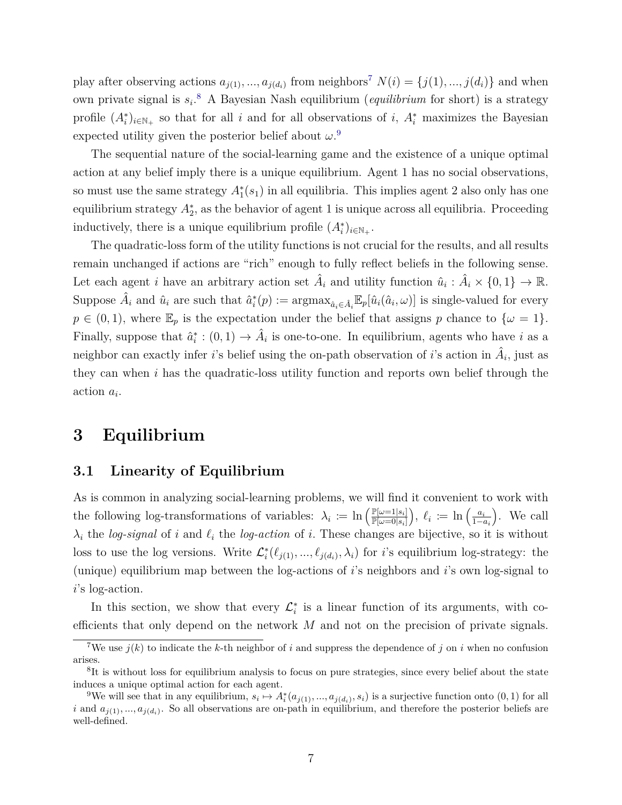play after observing actions  $a_{j(1)},...,a_{j(d_i)}$  from neighbors<sup>[7](#page-7-0)</sup>  $N(i) = \{j(1),...,j(d_i)\}$  and when own private signal is *s<sup>i</sup>* . [8](#page-7-1) A Bayesian Nash equilibrium (*equilibrium* for short) is a strategy profile  $(A_i^*)_{i \in \mathbb{N}_+}$  so that for all *i* and for all observations of *i*,  $A_i^*$  maximizes the Bayesian expected utility given the posterior belief about  $\omega$ <sup>[9](#page-7-2)</sup>

The sequential nature of the social-learning game and the existence of a unique optimal action at any belief imply there is a unique equilibrium. Agent 1 has no social observations, so must use the same strategy  $A_1^*(s_1)$  in all equilibria. This implies agent 2 also only has one equilibrium strategy  $A_2^*$ , as the behavior of agent 1 is unique across all equilibria. Proceeding inductively, there is a unique equilibrium profile  $(A_i^*)_{i \in \mathbb{N}_+}$ .

The quadratic-loss form of the utility functions is not crucial for the results, and all results remain unchanged if actions are "rich" enough to fully reflect beliefs in the following sense. Let each agent *i* have an arbitrary action set  $\hat{A}_i$  and utility function  $\hat{u}_i : \hat{A}_i \times \{0, 1\} \to \mathbb{R}$ . Suppose  $\hat{A}_i$  and  $\hat{u}_i$  are such that  $\hat{a}_i^*(p) := \operatorname{argmax}_{\hat{a}_i \in \hat{A}_i} \mathbb{E}_p[\hat{u}_i(\hat{a}_i, \omega)]$  is single-valued for every  $p \in (0,1)$ , where  $\mathbb{E}_p$  is the expectation under the belief that assigns *p* chance to  $\{\omega = 1\}$ . Finally, suppose that  $\hat{a}_i^* : (0,1) \to \hat{A}_i$  is one-to-one. In equilibrium, agents who have *i* as a neighbor can exactly infer *i*'s belief using the on-path observation of *i*'s action in  $\hat{A}_i$ , just as they can when *i* has the quadratic-loss utility function and reports own belief through the action *a<sup>i</sup> .*

### **3 Equilibrium**

### **3.1 Linearity of Equilibrium**

As is common in analyzing social-learning problems, we will find it convenient to work with the following log-transformations of variables:  $\lambda_i := \ln \left( \frac{\mathbb{P}[\omega=1|s_i]}{\mathbb{P}[\omega=0|s_i]} \right)$  $\overline{\mathbb{P}[\omega=0|s_i]}$  $\int$ ,  $\ell_i := \ln \left( \frac{a_i}{1-\epsilon} \right)$ 1−*a<sup>i</sup>* . We call  $\lambda_i$  the *log-signal* of *i* and  $\ell_i$  the *log-action* of *i*. These changes are bijective, so it is without loss to use the log versions. Write  $\mathcal{L}_i^*(\ell_{j(1)},...,\ell_{j(d_i)},\lambda_i)$  for *i*'s equilibrium log-strategy: the (unique) equilibrium map between the log-actions of *i*'s neighbors and *i*'s own log-signal to *i*'s log-action.

In this section, we show that every  $\mathcal{L}_i^*$  is a linear function of its arguments, with coefficients that only depend on the network *M* and not on the precision of private signals.

<span id="page-7-0"></span><sup>&</sup>lt;sup>7</sup>We use  $j(k)$  to indicate the *k*-th neighbor of *i* and suppress the dependence of *j* on *i* when no confusion arises.

<span id="page-7-1"></span><sup>&</sup>lt;sup>8</sup>It is without loss for equilibrium analysis to focus on pure strategies, since every belief about the state induces a unique optimal action for each agent.

<span id="page-7-2"></span><sup>&</sup>lt;sup>9</sup>We will see that in any equilibrium,  $s_i \mapsto A_i^*(a_{j(1)},...,a_{j(d_i)},s_i)$  is a surjective function onto  $(0,1)$  for all *i* and  $a_{j(1)},...,a_{j(d_i)}$ . So all observations are on-path in equilibrium, and therefore the posterior beliefs are well-defined.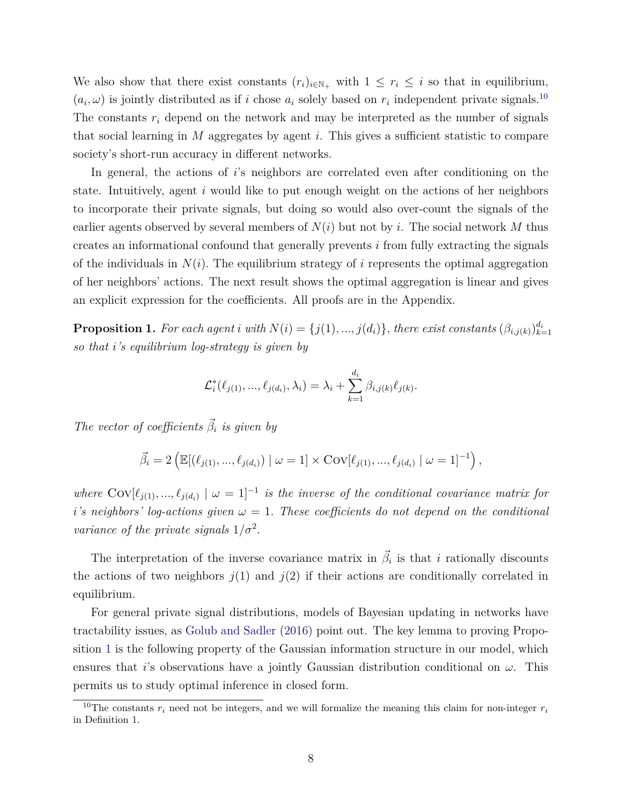We also show that there exist constants  $(r_i)_{i \in \mathbb{N}_+}$  with  $1 \leq r_i \leq i$  so that in equilibrium,  $(a_i, \omega)$  is jointly distributed as if *i* chose  $a_i$  solely based on  $r_i$  independent private signals.<sup>[10](#page-8-0)</sup> The constants *r<sup>i</sup>* depend on the network and may be interpreted as the number of signals that social learning in *M* aggregates by agent *i*. This gives a sufficient statistic to compare society's short-run accuracy in different networks.

In general, the actions of *i*'s neighbors are correlated even after conditioning on the state. Intuitively, agent *i* would like to put enough weight on the actions of her neighbors to incorporate their private signals, but doing so would also over-count the signals of the earlier agents observed by several members of *N*(*i*) but not by *i*. The social network *M* thus creates an informational confound that generally prevents *i* from fully extracting the signals of the individuals in  $N(i)$ . The equilibrium strategy of *i* represents the optimal aggregation of her neighbors' actions. The next result shows the optimal aggregation is linear and gives an explicit expression for the coefficients. All proofs are in the Appendix.

<span id="page-8-1"></span>**Proposition 1.** For each agent i with  $N(i) = \{j(1), ..., j(d_i)\}\$ , there exist constants  $(\beta_{i,j(k)})_{k=1}^{d_i}$ *so that i's equilibrium log-strategy is given by*

$$
\mathcal{L}_i^*(\ell_{j(1)}, ..., \ell_{j(d_i)}, \lambda_i) = \lambda_i + \sum_{k=1}^{d_i} \beta_{i,j(k)} \ell_{j(k)}.
$$

*The vector of coefficients*  $\vec{\beta}_i$  *is given by* 

$$
\vec{\beta}_i = 2 \left( \mathbb{E}[(\ell_{j(1)}, ..., \ell_{j(d_i)}) \mid \omega = 1] \times \text{Cov}[\ell_{j(1)}, ..., \ell_{j(d_i)} \mid \omega = 1]^{-1} \right),
$$

*where*  $Cov[\ell_{j(1)},...,\ell_{j(d_i)} | \omega = 1]^{-1}$  *is the inverse of the conditional covariance matrix for i*<sup>'</sup>*s* neighbors' log-actions given  $\omega = 1$ . These coefficients do not depend on the conditional *variance of the private signals*  $1/\sigma^2$ .

The interpretation of the inverse covariance matrix in  $\vec{\beta}_i$  is that *i* rationally discounts the actions of two neighbors  $j(1)$  and  $j(2)$  if their actions are conditionally correlated in equilibrium.

For general private signal distributions, models of Bayesian updating in networks have tractability issues, as [Golub and Sadler](#page-25-0) [\(2016\)](#page-25-0) point out. The key lemma to proving Proposition [1](#page-8-1) is the following property of the Gaussian information structure in our model, which ensures that *i*'s observations have a jointly Gaussian distribution conditional on  $\omega$ . This permits us to study optimal inference in closed form.

<span id="page-8-0"></span><sup>&</sup>lt;sup>10</sup>The constants  $r_i$  need not be integers, and we will formalize the meaning this claim for non-integer  $r_i$ in Definition [1.](#page-9-0)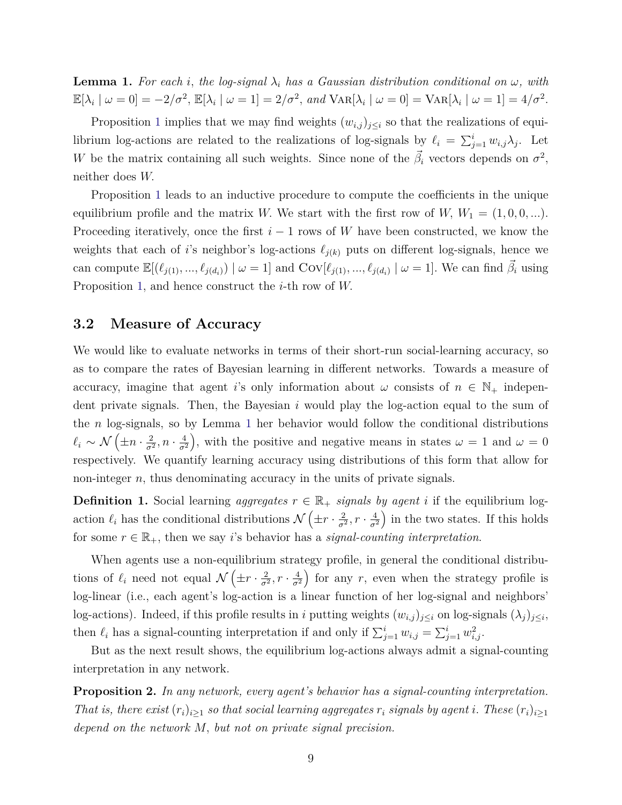<span id="page-9-1"></span>**Lemma 1.** For each *i*, the log-signal  $\lambda_i$  has a Gaussian distribution conditional on  $\omega$ , with  $\mathbb{E}[\lambda_i \mid \omega = 0] = -2/\sigma^2$ ,  $\mathbb{E}[\lambda_i \mid \omega = 1] = 2/\sigma^2$ , and  $\text{Var}[\lambda_i \mid \omega = 0] = \text{Var}[\lambda_i \mid \omega = 1] = 4/\sigma^2$ .

Proposition [1](#page-8-1) implies that we may find weights  $(w_{i,j})_{j\leq i}$  so that the realizations of equilibrium log-actions are related to the realizations of log-signals by  $\ell_i = \sum_{j=1}^i w_{i,j} \lambda_j$ . Let *W* be the matrix containing all such weights. Since none of the  $\vec{\beta}_i$  vectors depends on  $\sigma^2$ , neither does *W.*

Proposition [1](#page-8-1) leads to an inductive procedure to compute the coefficients in the unique equilibrium profile and the matrix *W*. We start with the first row of *W*,  $W_1 = (1, 0, 0, \ldots)$ . Proceeding iteratively, once the first *i* − 1 rows of *W* have been constructed, we know the weights that each of *i*'s neighbor's log-actions  $\ell_{j(k)}$  puts on different log-signals, hence we can compute  $\mathbb{E}[(\ell_{j(1)},...,\ell_{j(d_i)}) \mid \omega = 1]$  and  $Cov[\ell_{j(1)},...,\ell_{j(d_i)} \mid \omega = 1]$ . We can find  $\vec{\beta}_i$  using Proposition [1,](#page-8-1) and hence construct the *i*-th row of *W.*

### **3.2 Measure of Accuracy**

We would like to evaluate networks in terms of their short-run social-learning accuracy, so as to compare the rates of Bayesian learning in different networks. Towards a measure of accuracy, imagine that agent *i*'s only information about  $\omega$  consists of  $n \in \mathbb{N}_+$  independent private signals. Then, the Bayesian *i* would play the log-action equal to the sum of the *n* log-signals, so by Lemma [1](#page-9-1) her behavior would follow the conditional distributions  $\ell_i \sim \mathcal{N}\left(\pm n\cdot \frac{2}{\sigma^2}\right)$  $\frac{2}{\sigma^2}, n \cdot \frac{4}{\sigma^2}$ *σ*<sup>2</sup> ), with the positive and negative means in states  $\omega = 1$  and  $\omega = 0$ respectively. We quantify learning accuracy using distributions of this form that allow for non-integer *n*, thus denominating accuracy in the units of private signals.

<span id="page-9-0"></span>**Definition 1.** Social learning *aggregates*  $r \in \mathbb{R}_+$  *signals by agent i* if the equilibrium logaction  $\ell_i$  has the conditional distributions  $\mathcal{N}\left(\pm r\cdot\frac{2}{\sigma^2}\right)$  $\frac{2}{\sigma^2}, r \cdot \frac{4}{\sigma^2}$  $\overline{\sigma^2}$ ) in the two states. If this holds for some  $r \in \mathbb{R}_+$ , then we say *i*'s behavior has a *signal-counting interpretation*.

When agents use a non-equilibrium strategy profile, in general the conditional distributions of  $\ell_i$  need not equal  $\mathcal{N}(\pm r \cdot \frac{2}{\sigma^2})$  $\frac{2}{\sigma^2}, r \cdot \frac{4}{\sigma^2}$ *σ*<sup>2</sup> for any  $r$ , even when the strategy profile is log-linear (i.e., each agent's log-action is a linear function of her log-signal and neighbors' log-actions). Indeed, if this profile results in *i* putting weights  $(w_{i,j})_{j\leq i}$  on log-signals  $(\lambda_j)_{j\leq i}$ , then  $\ell_i$  has a signal-counting interpretation if and only if  $\sum_{j=1}^i w_{i,j} = \sum_{j=1}^i w_{i,j}^2$ .

But as the next result shows, the equilibrium log-actions always admit a signal-counting interpretation in any network.

<span id="page-9-2"></span>**Proposition 2.** *In any network, every agent's behavior has a signal-counting interpretation. That is, there exist*  $(r_i)_{i>1}$  *so that social learning aggregates*  $r_i$  *signals by agent i. These*  $(r_i)_{i>1}$ *depend on the network M, but not on private signal precision.*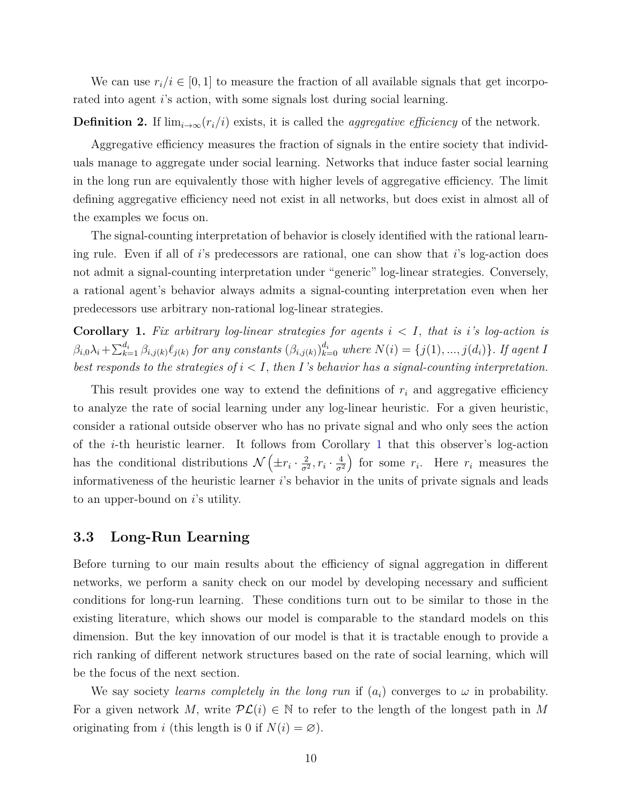We can use  $r_i/i \in [0,1]$  to measure the fraction of all available signals that get incorporated into agent *i*'s action, with some signals lost during social learning.

#### **Definition 2.** If  $\lim_{i\to\infty} (r_i/i)$  exists, it is called the *aggregative efficiency* of the network.

Aggregative efficiency measures the fraction of signals in the entire society that individuals manage to aggregate under social learning. Networks that induce faster social learning in the long run are equivalently those with higher levels of aggregative efficiency. The limit defining aggregative efficiency need not exist in all networks, but does exist in almost all of the examples we focus on.

The signal-counting interpretation of behavior is closely identified with the rational learning rule. Even if all of *i*'s predecessors are rational, one can show that *i*'s log-action does not admit a signal-counting interpretation under "generic" log-linear strategies. Conversely, a rational agent's behavior always admits a signal-counting interpretation even when her predecessors use arbitrary non-rational log-linear strategies.

<span id="page-10-0"></span>**Corollary 1.** Fix arbitrary log-linear strategies for agents  $i < I$ , that is  $i$ 's log-action is  $\beta_{i,0}\lambda_i+\sum_{k=1}^{d_i}\beta_{i,j(k)}\ell_{j(k)}$  for any constants  $(\beta_{i,j(k)})_{k=0}^{d_i}$  where  $N(i)=\{j(1),...,j(d_i)\}$ . If agent I *best responds to the strategies of i < I, then I's behavior has a signal-counting interpretation.*

This result provides one way to extend the definitions of *r<sup>i</sup>* and aggregative efficiency to analyze the rate of social learning under any log-linear heuristic. For a given heuristic, consider a rational outside observer who has no private signal and who only sees the action of the *i*-th heuristic learner. It follows from Corollary [1](#page-10-0) that this observer's log-action has the conditional distributions  $\mathcal{N}\left(\pm r_i\cdot \frac{2}{\sigma^2}\right)$  $\frac{2}{\sigma^2}$ ,  $r_i \cdot \frac{4}{\sigma^2}$ *σ*<sup>2</sup> for some  $r_i$ . Here  $r_i$  measures the informativeness of the heuristic learner *i*'s behavior in the units of private signals and leads to an upper-bound on *i*'s utility.

#### **3.3 Long-Run Learning**

Before turning to our main results about the efficiency of signal aggregation in different networks, we perform a sanity check on our model by developing necessary and sufficient conditions for long-run learning. These conditions turn out to be similar to those in the existing literature, which shows our model is comparable to the standard models on this dimension. But the key innovation of our model is that it is tractable enough to provide a rich ranking of different network structures based on the rate of social learning, which will be the focus of the next section.

We say society *learns completely in the long run* if  $(a_i)$  converges to  $\omega$  in probability. For a given network M, write  $PL(i) \in \mathbb{N}$  to refer to the length of the longest path in M originating from *i* (this length is 0 if  $N(i) = \emptyset$ ).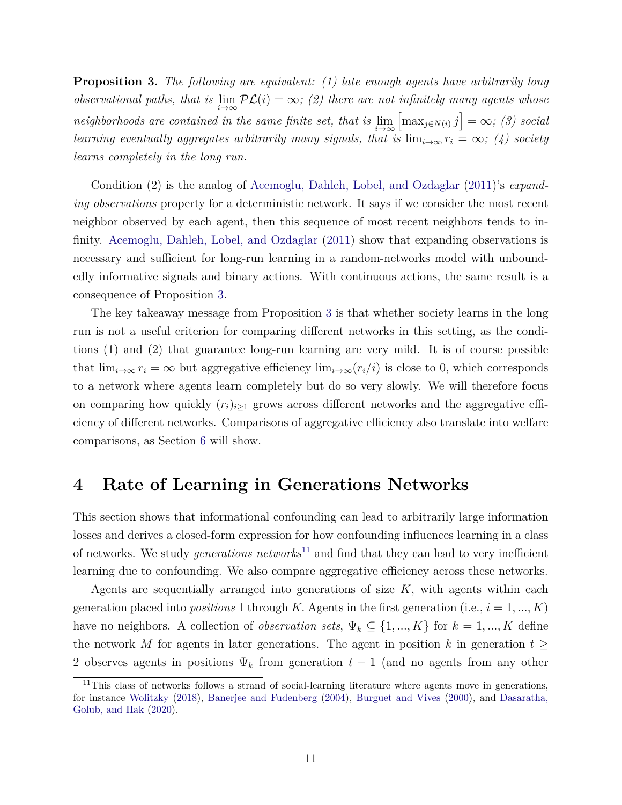<span id="page-11-0"></span>**Proposition 3.** *The following are equivalent: (1) late enough agents have arbitrarily long observational paths, that is*  $\lim_{i\to\infty}$   $\mathcal{PL}(i) = \infty$ ; (2) there are not infinitely many agents whose *neighborhoods are contained in the same finite set, that is*  $\lim_{i\to\infty}$  $\left[\max_{j \in N(i)} j\right] = \infty$ ; (3) social *learning eventually aggregates arbitrarily many signals, that is*  $\lim_{i\to\infty} r_i = \infty$ ; (4) society *learns completely in the long run.*

Condition (2) is the analog of [Acemoglu, Dahleh, Lobel, and Ozdaglar](#page-23-0) [\(2011\)](#page-23-0)'s *expanding observations* property for a deterministic network. It says if we consider the most recent neighbor observed by each agent, then this sequence of most recent neighbors tends to infinity. [Acemoglu, Dahleh, Lobel, and Ozdaglar](#page-23-0) [\(2011\)](#page-23-0) show that expanding observations is necessary and sufficient for long-run learning in a random-networks model with unboundedly informative signals and binary actions. With continuous actions, the same result is a consequence of Proposition [3.](#page-11-0)

The key takeaway message from Proposition [3](#page-11-0) is that whether society learns in the long run is not a useful criterion for comparing different networks in this setting, as the conditions (1) and (2) that guarantee long-run learning are very mild. It is of course possible that  $\lim_{i\to\infty} r_i = \infty$  but aggregative efficiency  $\lim_{i\to\infty} (r_i/i)$  is close to 0, which corresponds to a network where agents learn completely but do so very slowly. We will therefore focus on comparing how quickly  $(r_i)_{i\geq 1}$  grows across different networks and the aggregative efficiency of different networks. Comparisons of aggregative efficiency also translate into welfare comparisons, as Section [6](#page-22-0) will show.

### **4 Rate of Learning in Generations Networks**

This section shows that informational confounding can lead to arbitrarily large information losses and derives a closed-form expression for how confounding influences learning in a class of networks. We study *generations networks*<sup>[11](#page-11-1)</sup> and find that they can lead to very inefficient learning due to confounding. We also compare aggregative efficiency across these networks.

Agents are sequentially arranged into generations of size *K*, with agents within each generation placed into *positions* 1 through *K*. Agents in the first generation (i.e.,  $i = 1, ..., K$ ) have no neighbors. A collection of *observation sets*,  $\Psi_k \subseteq \{1, ..., K\}$  for  $k = 1, ..., K$  define the network *M* for agents in later generations. The agent in position *k* in generation  $t \geq$ 2 observes agents in positions  $\Psi_k$  from generation  $t-1$  (and no agents from any other

<span id="page-11-1"></span><sup>&</sup>lt;sup>11</sup>This class of networks follows a strand of social-learning literature where agents move in generations, for instance [Wolitzky](#page-26-3) [\(2018\)](#page-26-3), [Banerjee and Fudenberg](#page-24-7) [\(2004\)](#page-24-7), [Burguet and Vives](#page-24-6) [\(2000\)](#page-24-6), and [Dasaratha,](#page-24-8) [Golub, and Hak](#page-24-8) [\(2020\)](#page-24-8).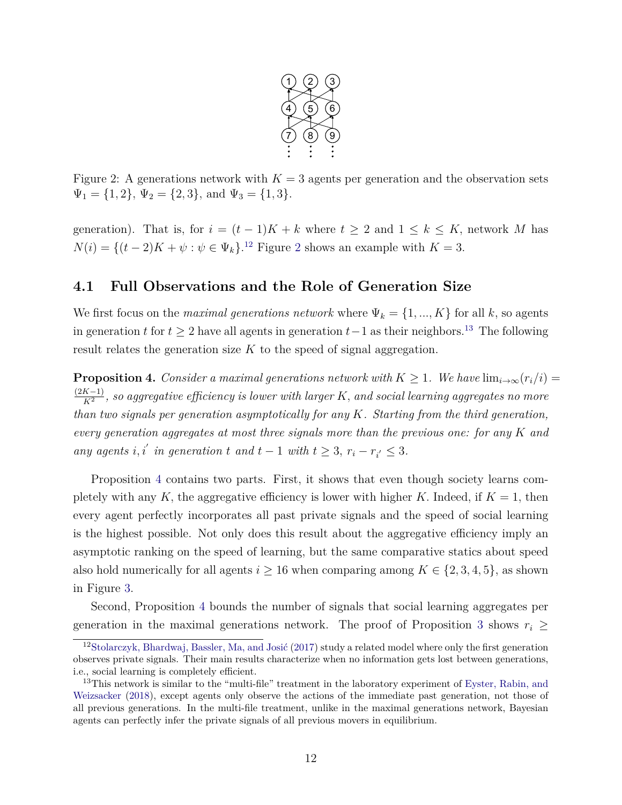

<span id="page-12-1"></span>Figure 2: A generations network with  $K = 3$  agents per generation and the observation sets  $\Psi_1 = \{1, 2\}, \Psi_2 = \{2, 3\}, \text{ and } \Psi_3 = \{1, 3\}.$ 

generation). That is, for  $i = (t-1)K + k$  where  $t \geq 2$  and  $1 \leq k \leq K$ , network M has  $N(i) = \{(t-2)K + \psi : \psi \in \Psi_k\}.$  $N(i) = \{(t-2)K + \psi : \psi \in \Psi_k\}.$  $N(i) = \{(t-2)K + \psi : \psi \in \Psi_k\}.$ <sup>[12](#page-12-0)</sup> Figure 2 shows an example with  $K = 3$ .

### **4.1 Full Observations and the Role of Generation Size**

We first focus on the *maximal generations network* where  $\Psi_k = \{1, ..., K\}$  for all *k*, so agents in generation *t* for  $t \geq 2$  have all agents in generation  $t-1$  as their neighbors.<sup>[13](#page-12-2)</sup> The following result relates the generation size *K* to the speed of signal aggregation.

<span id="page-12-3"></span>**Proposition 4.** *Consider a maximal generations network with*  $K \geq 1$ *. We have*  $\lim_{i\to\infty} (r_i/i)$ (2*K*−1)  $\frac{K-1}{K^2}$ , so aggregative efficiency is lower with larger  $K$ , and social learning aggregates no more *than two signals per generation asymptotically for any K. Starting from the third generation, every generation aggregates at most three signals more than the previous one: for any K and any agents i, i' in generation t and*  $t - 1$  *with*  $t \geq 3$ *,*  $r_i - r_{i'} \leq 3$ *.* 

Proposition [4](#page-12-3) contains two parts. First, it shows that even though society learns completely with any  $K$ , the aggregative efficiency is lower with higher  $K$ . Indeed, if  $K = 1$ , then every agent perfectly incorporates all past private signals and the speed of social learning is the highest possible. Not only does this result about the aggregative efficiency imply an asymptotic ranking on the speed of learning, but the same comparative statics about speed also hold numerically for all agents  $i \ge 16$  when comparing among  $K \in \{2, 3, 4, 5\}$ , as shown in Figure [3.](#page-13-0)

Second, Proposition [4](#page-12-3) bounds the number of signals that social learning aggregates per generation in the maximal generations network. The proof of Proposition [3](#page-11-0) shows  $r_i \geq$ 

<span id="page-12-0"></span><sup>&</sup>lt;sup>12</sup>[Stolarczyk, Bhardwaj, Bassler, Ma, and Josić](#page-26-4) [\(2017\)](#page-26-4) study a related model where only the first generation observes private signals. Their main results characterize when no information gets lost between generations, i.e., social learning is completely efficient.

<span id="page-12-2"></span><sup>&</sup>lt;sup>13</sup>This network is similar to the "multi-file" treatment in the laboratory experiment of [Eyster, Rabin, and](#page-24-9) [Weizsacker](#page-24-9) [\(2018\)](#page-24-9), except agents only observe the actions of the immediate past generation, not those of all previous generations. In the multi-file treatment, unlike in the maximal generations network, Bayesian agents can perfectly infer the private signals of all previous movers in equilibrium.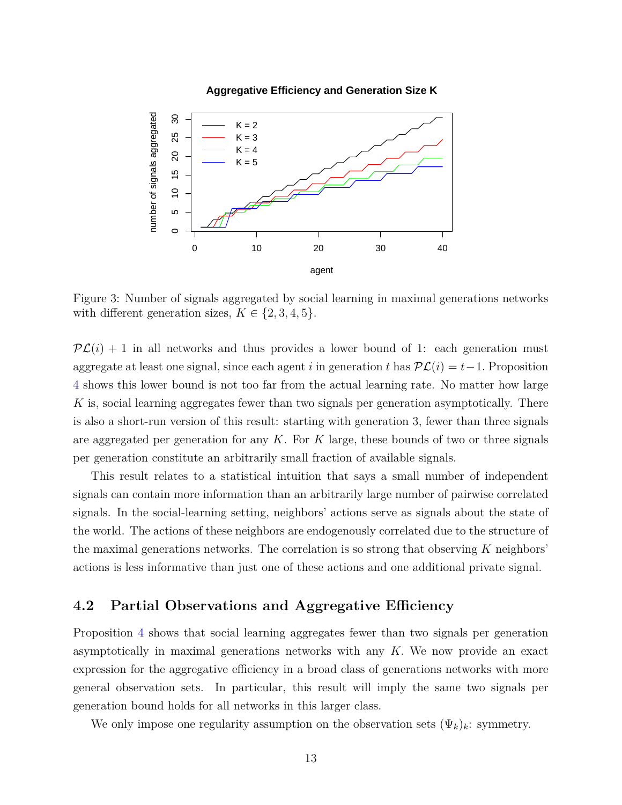<span id="page-13-0"></span>

#### **Aggregative Efficiency and Generation Size K**

Figure 3: Number of signals aggregated by social learning in maximal generations networks with different generation sizes,  $K \in \{2, 3, 4, 5\}$ .

 $\mathcal{PL}(i) + 1$  in all networks and thus provides a lower bound of 1: each generation must aggregate at least one signal, since each agent *i* in generation *t* has  $\mathcal{PL}(i) = t - 1$ . Proposition [4](#page-12-3) shows this lower bound is not too far from the actual learning rate. No matter how large *K* is, social learning aggregates fewer than two signals per generation asymptotically. There is also a short-run version of this result: starting with generation 3, fewer than three signals are aggregated per generation for any *K*. For *K* large, these bounds of two or three signals per generation constitute an arbitrarily small fraction of available signals.

This result relates to a statistical intuition that says a small number of independent signals can contain more information than an arbitrarily large number of pairwise correlated signals. In the social-learning setting, neighbors' actions serve as signals about the state of the world. The actions of these neighbors are endogenously correlated due to the structure of the maximal generations networks. The correlation is so strong that observing *K* neighbors' actions is less informative than just one of these actions and one additional private signal.

### **4.2 Partial Observations and Aggregative Efficiency**

Proposition [4](#page-12-3) shows that social learning aggregates fewer than two signals per generation asymptotically in maximal generations networks with any *K.* We now provide an exact expression for the aggregative efficiency in a broad class of generations networks with more general observation sets. In particular, this result will imply the same two signals per generation bound holds for all networks in this larger class.

We only impose one regularity assumption on the observation sets  $(\Psi_k)_k$ : symmetry.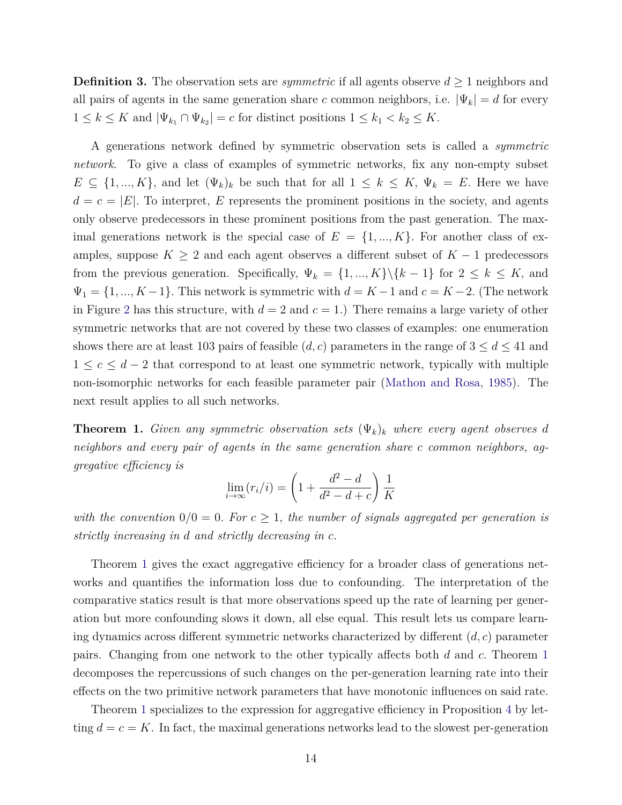**Definition 3.** The observation sets are *symmetric* if all agents observe  $d \geq 1$  neighbors and all pairs of agents in the same generation share *c* common neighbors, i.e.  $|\Psi_k| = d$  for every  $1 \leq k \leq K$  and  $|\Psi_{k_1} \cap \Psi_{k_2}| = c$  for distinct positions  $1 \leq k_1 < k_2 \leq K$ .

A generations network defined by symmetric observation sets is called a *symmetric network*. To give a class of examples of symmetric networks, fix any non-empty subset  $E \subseteq \{1, ..., K\}$ , and let  $(\Psi_k)_k$  be such that for all  $1 \leq k \leq K$ ,  $\Psi_k = E$ . Here we have  $d = c = |E|$ . To interpret, *E* represents the prominent positions in the society, and agents only observe predecessors in these prominent positions from the past generation. The maximal generations network is the special case of  $E = \{1, ..., K\}$ . For another class of examples, suppose  $K \geq 2$  and each agent observes a different subset of  $K - 1$  predecessors from the previous generation. Specifically,  $\Psi_k = \{1, ..., K\} \setminus \{k-1\}$  for  $2 \leq k \leq K$ , and  $\Psi_1 = \{1, ..., K-1\}$ . This network is symmetric with  $d = K - 1$  and  $c = K - 2$ . (The network in Figure [2](#page-12-1) has this structure, with  $d = 2$  and  $c = 1$ .) There remains a large variety of other symmetric networks that are not covered by these two classes of examples: one enumeration shows there are at least 103 pairs of feasible  $(d, c)$  parameters in the range of  $3 \leq d \leq 41$  and 1 ≤  $c$  ≤  $d-2$  that correspond to at least one symmetric network, typically with multiple non-isomorphic networks for each feasible parameter pair [\(Mathon and Rosa,](#page-25-11) [1985\)](#page-25-11). The next result applies to all such networks.

<span id="page-14-0"></span>**Theorem 1.** *Given any symmetric observation sets*  $(\Psi_k)_k$  *where every agent observes d neighbors and every pair of agents in the same generation share c common neighbors, aggregative efficiency is*

$$
\lim_{i \to \infty} (r_i/i) = \left(1 + \frac{d^2 - d}{d^2 - d + c}\right) \frac{1}{K}
$$

*with the convention*  $0/0 = 0$ *. For*  $c \geq 1$ *, the number of signals aggregated per generation is strictly increasing in d and strictly decreasing in c.*

Theorem [1](#page-14-0) gives the exact aggregative efficiency for a broader class of generations networks and quantifies the information loss due to confounding. The interpretation of the comparative statics result is that more observations speed up the rate of learning per generation but more confounding slows it down, all else equal. This result lets us compare learning dynamics across different symmetric networks characterized by different (*d, c*) parameter pairs. Changing from one network to the other typically affects both *d* and *c.* Theorem [1](#page-14-0) decomposes the repercussions of such changes on the per-generation learning rate into their effects on the two primitive network parameters that have monotonic influences on said rate.

Theorem [1](#page-14-0) specializes to the expression for aggregative efficiency in Proposition [4](#page-12-3) by letting  $d = c = K$ . In fact, the maximal generations networks lead to the slowest per-generation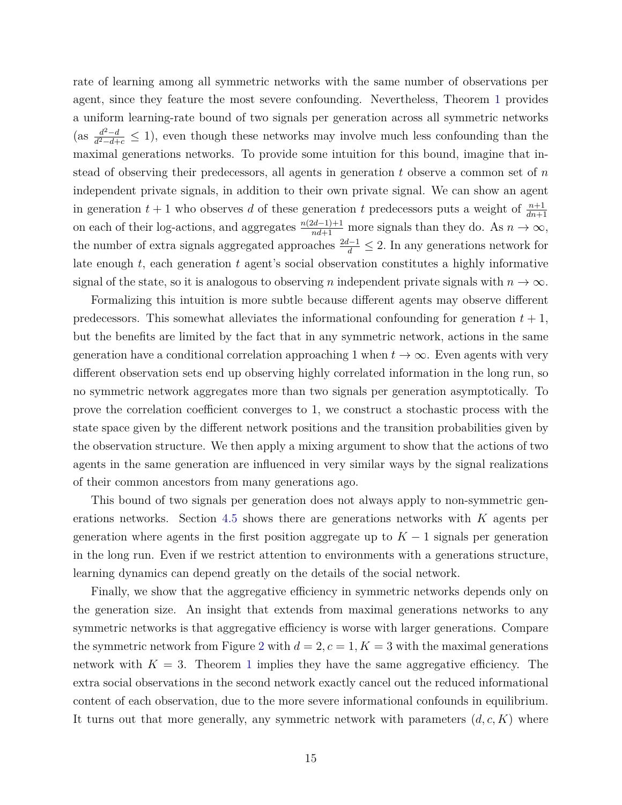rate of learning among all symmetric networks with the same number of observations per agent, since they feature the most severe confounding. Nevertheless, Theorem [1](#page-14-0) provides a uniform learning-rate bound of two signals per generation across all symmetric networks  $\left(\text{as } \frac{d^2 - d}{d^2 - d}\right)$  $\frac{d^2-d}{d^2-d+c} \leq 1$ , even though these networks may involve much less confounding than the maximal generations networks. To provide some intuition for this bound, imagine that instead of observing their predecessors, all agents in generation *t* observe a common set of *n* independent private signals, in addition to their own private signal. We can show an agent in generation  $t + 1$  who observes *d* of these generation *t* predecessors puts a weight of  $\frac{n+1}{dn+1}$ on each of their log-actions, and aggregates  $\frac{n(2d-1)+1}{nd+1}$  more signals than they do. As  $n \to \infty$ , the number of extra signals aggregated approaches  $\frac{2d-1}{d} \leq 2$ . In any generations network for late enough *t*, each generation *t* agent's social observation constitutes a highly informative signal of the state, so it is analogous to observing *n* independent private signals with  $n \to \infty$ .

Formalizing this intuition is more subtle because different agents may observe different predecessors. This somewhat alleviates the informational confounding for generation  $t + 1$ , but the benefits are limited by the fact that in any symmetric network, actions in the same generation have a conditional correlation approaching 1 when  $t \to \infty$ . Even agents with very different observation sets end up observing highly correlated information in the long run, so no symmetric network aggregates more than two signals per generation asymptotically. To prove the correlation coefficient converges to 1, we construct a stochastic process with the state space given by the different network positions and the transition probabilities given by the observation structure. We then apply a mixing argument to show that the actions of two agents in the same generation are influenced in very similar ways by the signal realizations of their common ancestors from many generations ago.

This bound of two signals per generation does not always apply to non-symmetric generations networks. Section [4.5](#page-18-0) shows there are generations networks with *K* agents per generation where agents in the first position aggregate up to  $K-1$  signals per generation in the long run. Even if we restrict attention to environments with a generations structure, learning dynamics can depend greatly on the details of the social network.

Finally, we show that the aggregative efficiency in symmetric networks depends only on the generation size. An insight that extends from maximal generations networks to any symmetric networks is that aggregative efficiency is worse with larger generations. Compare the symmetric network from Figure [2](#page-12-1) with  $d = 2, c = 1, K = 3$  with the maximal generations network with  $K = 3$ . Theorem [1](#page-14-0) implies they have the same aggregative efficiency. The extra social observations in the second network exactly cancel out the reduced informational content of each observation, due to the more severe informational confounds in equilibrium. It turns out that more generally, any symmetric network with parameters (*d, c, K*) where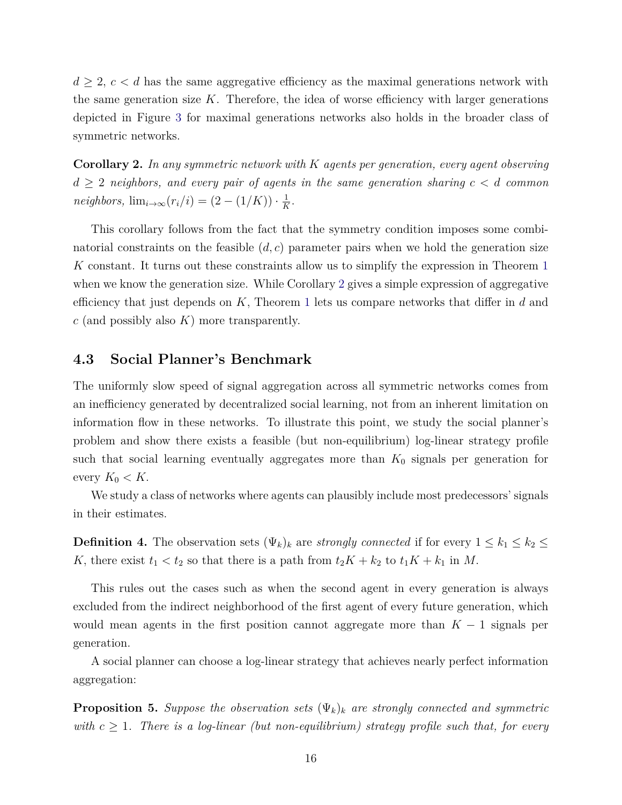$d \geq 2, c < d$  has the same aggregative efficiency as the maximal generations network with the same generation size  $K$ . Therefore, the idea of worse efficiency with larger generations depicted in Figure [3](#page-13-0) for maximal generations networks also holds in the broader class of symmetric networks.

<span id="page-16-0"></span>**Corollary 2.** *In any symmetric network with K agents per generation, every agent observing*  $d \geq 2$  *neighbors, and every pair of agents in the same generation sharing*  $c < d$  *common*  $neighbors, \lim_{i \to \infty} (r_i/i) = (2 - (1/K)) \cdot \frac{1}{K}$  $\frac{1}{K}$ .

This corollary follows from the fact that the symmetry condition imposes some combinatorial constraints on the feasible (*d, c*) parameter pairs when we hold the generation size *K* constant. It turns out these constraints allow us to simplify the expression in Theorem [1](#page-14-0) when we know the generation size. While Corollary [2](#page-16-0) gives a simple expression of aggregative efficiency that just depends on *K*, Theorem [1](#page-14-0) lets us compare networks that differ in *d* and *c* (and possibly also *K*) more transparently.

#### **4.3 Social Planner's Benchmark**

The uniformly slow speed of signal aggregation across all symmetric networks comes from an inefficiency generated by decentralized social learning, not from an inherent limitation on information flow in these networks. To illustrate this point, we study the social planner's problem and show there exists a feasible (but non-equilibrium) log-linear strategy profile such that social learning eventually aggregates more than  $K_0$  signals per generation for every  $K_0 < K$ .

We study a class of networks where agents can plausibly include most predecessors' signals in their estimates.

**Definition 4.** The observation sets  $(\Psi_k)_k$  are *strongly connected* if for every  $1 \leq k_1 \leq k_2 \leq$ *K*, there exist  $t_1 < t_2$  so that there is a path from  $t_2K + k_2$  to  $t_1K + k_1$  in *M*.

This rules out the cases such as when the second agent in every generation is always excluded from the indirect neighborhood of the first agent of every future generation, which would mean agents in the first position cannot aggregate more than  $K - 1$  signals per generation.

A social planner can choose a log-linear strategy that achieves nearly perfect information aggregation:

<span id="page-16-1"></span>**Proposition 5.** *Suppose the observation sets*  $(\Psi_k)_k$  *are strongly connected and symmetric with*  $c \geq 1$ . There is a log-linear (but non-equilibrium) strategy profile such that, for every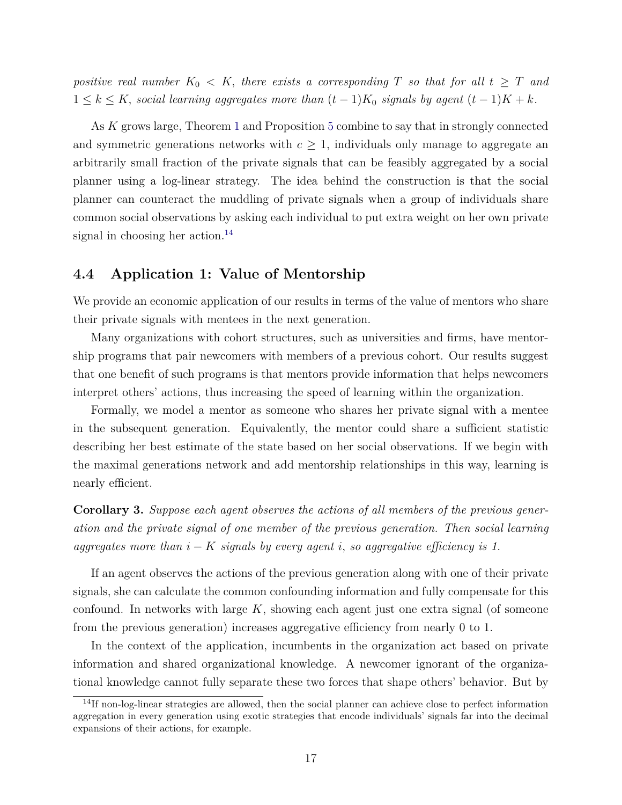*positive real number*  $K_0 < K$ , there exists a corresponding T so that for all  $t \geq T$  and 1 ≤ *k* ≤ *K, social learning aggregates more than* (*t* − 1)*K*<sup>0</sup> *signals by agent* (*t* − 1)*K* + *k.*

As *K* grows large, Theorem [1](#page-14-0) and Proposition [5](#page-16-1) combine to say that in strongly connected and symmetric generations networks with  $c \geq 1$ , individuals only manage to aggregate an arbitrarily small fraction of the private signals that can be feasibly aggregated by a social planner using a log-linear strategy. The idea behind the construction is that the social planner can counteract the muddling of private signals when a group of individuals share common social observations by asking each individual to put extra weight on her own private signal in choosing her action.<sup>[14](#page-17-0)</sup>

### <span id="page-17-2"></span>**4.4 Application 1: Value of Mentorship**

We provide an economic application of our results in terms of the value of mentors who share their private signals with mentees in the next generation.

Many organizations with cohort structures, such as universities and firms, have mentorship programs that pair newcomers with members of a previous cohort. Our results suggest that one benefit of such programs is that mentors provide information that helps newcomers interpret others' actions, thus increasing the speed of learning within the organization.

Formally, we model a mentor as someone who shares her private signal with a mentee in the subsequent generation. Equivalently, the mentor could share a sufficient statistic describing her best estimate of the state based on her social observations. If we begin with the maximal generations network and add mentorship relationships in this way, learning is nearly efficient.

<span id="page-17-1"></span>**Corollary 3.** *Suppose each agent observes the actions of all members of the previous generation and the private signal of one member of the previous generation. Then social learning aggregates more than*  $i - K$  *signals by every agent*  $i$ , *so aggregative efficiency is 1.* 

If an agent observes the actions of the previous generation along with one of their private signals, she can calculate the common confounding information and fully compensate for this confound. In networks with large  $K$ , showing each agent just one extra signal (of someone from the previous generation) increases aggregative efficiency from nearly 0 to 1.

In the context of the application, incumbents in the organization act based on private information and shared organizational knowledge. A newcomer ignorant of the organizational knowledge cannot fully separate these two forces that shape others' behavior. But by

<span id="page-17-0"></span><sup>14</sup>If non-log-linear strategies are allowed, then the social planner can achieve close to perfect information aggregation in every generation using exotic strategies that encode individuals' signals far into the decimal expansions of their actions, for example.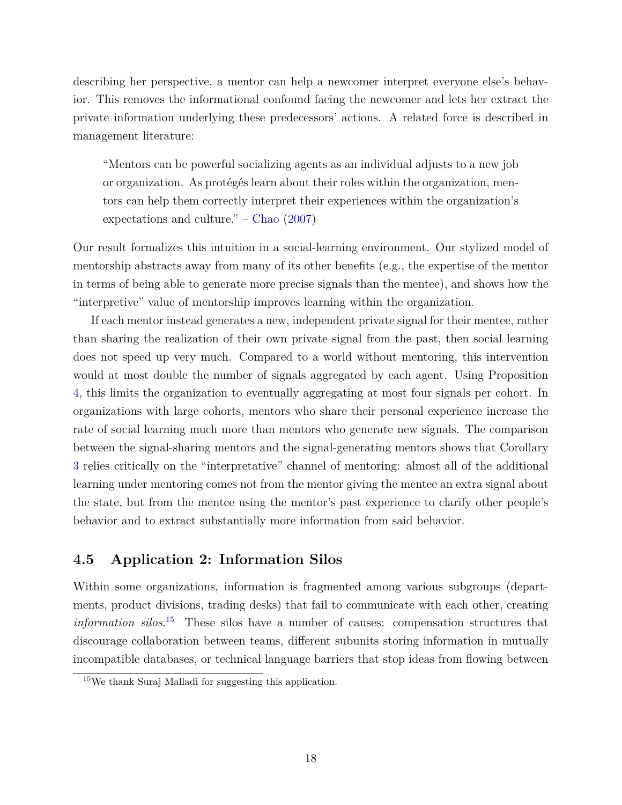describing her perspective, a mentor can help a newcomer interpret everyone else's behavior. This removes the informational confound facing the newcomer and lets her extract the private information underlying these predecessors' actions. A related force is described in management literature:

"Mentors can be powerful socializing agents as an individual adjusts to a new job or organization. As protégés learn about their roles within the organization, mentors can help them correctly interpret their experiences within the organization's expectations and culture." – [Chao](#page-24-10) [\(2007\)](#page-24-10)

Our result formalizes this intuition in a social-learning environment. Our stylized model of mentorship abstracts away from many of its other benefits (e.g., the expertise of the mentor in terms of being able to generate more precise signals than the mentee), and shows how the "interpretive" value of mentorship improves learning within the organization.

If each mentor instead generates a new, independent private signal for their mentee, rather than sharing the realization of their own private signal from the past, then social learning does not speed up very much. Compared to a world without mentoring, this intervention would at most double the number of signals aggregated by each agent. Using Proposition [4,](#page-12-3) this limits the organization to eventually aggregating at most four signals per cohort. In organizations with large cohorts, mentors who share their personal experience increase the rate of social learning much more than mentors who generate new signals. The comparison between the signal-sharing mentors and the signal-generating mentors shows that Corollary [3](#page-17-1) relies critically on the "interpretative" channel of mentoring: almost all of the additional learning under mentoring comes not from the mentor giving the mentee an extra signal about the state, but from the mentee using the mentor's past experience to clarify other people's behavior and to extract substantially more information from said behavior.

### <span id="page-18-0"></span>**4.5 Application 2: Information Silos**

Within some organizations, information is fragmented among various subgroups (departments, product divisions, trading desks) that fail to communicate with each other, creating *information silos*. [15](#page-18-1) These silos have a number of causes: compensation structures that discourage collaboration between teams, different subunits storing information in mutually incompatible databases, or technical language barriers that stop ideas from flowing between

<span id="page-18-1"></span><sup>15</sup>We thank Suraj Malladi for suggesting this application.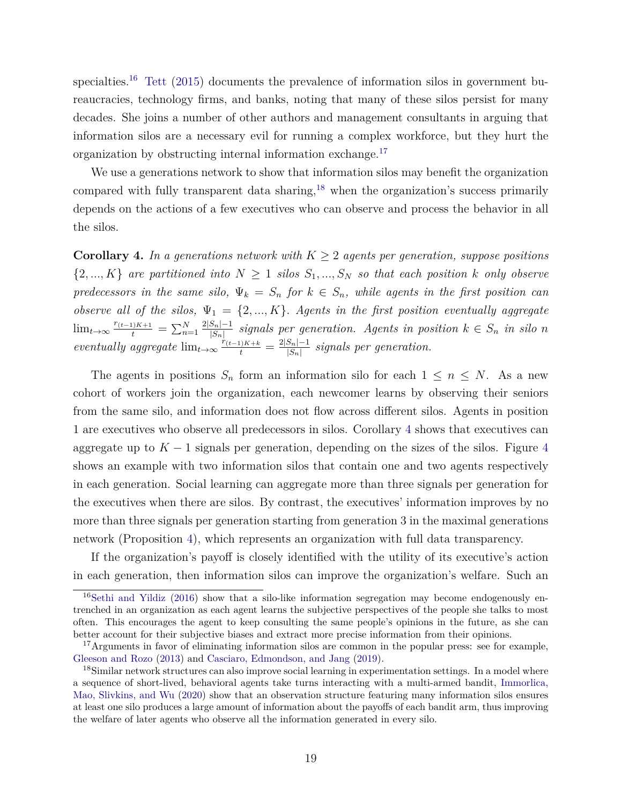specialties.<sup>[16](#page-19-0)</sup> [Tett](#page-26-5) [\(2015\)](#page-26-5) documents the prevalence of information silos in government bureaucracies, technology firms, and banks, noting that many of these silos persist for many decades. She joins a number of other authors and management consultants in arguing that information silos are a necessary evil for running a complex workforce, but they hurt the organization by obstructing internal information exchange.[17](#page-19-1)

We use a generations network to show that information silos may benefit the organization compared with fully transparent data sharing,<sup>[18](#page-19-2)</sup> when the organization's success primarily depends on the actions of a few executives who can observe and process the behavior in all the silos.

<span id="page-19-3"></span>**Corollary 4.** In a generations network with  $K \geq 2$  agents per generation, suppose positions  $\{2, ..., K\}$  are partitioned into  $N \geq 1$  silos  $S_1, ..., S_N$  so that each position *k* only observe *predecessors in the same silo,*  $\Psi_k = S_n$  *for*  $k \in S_n$ *, while agents in the first position can observe all of the silos,*  $\Psi_1 = \{2, ..., K\}$ *. Agents in the first position eventually aggregate*  $\lim_{t\to\infty} \frac{r_{(t-1)K+1}}{t} = \sum_{n=1}^{N} \frac{2|S_n|-1}{|S_n|}$  $\frac{|S_n| - 1}{|S_n|}$  signals per generation. Agents in position  $k \in S_n$  in silo *n eventually aggregate*  $\lim_{t\to\infty} \frac{r_{(t-1)K+k}}{t} = \frac{2|S_n|-1}{|S_n|}$  $\frac{|S_n|-1}{|S_n|}$  signals per generation.

The agents in positions  $S_n$  form an information silo for each  $1 \leq n \leq N$ . As a new cohort of workers join the organization, each newcomer learns by observing their seniors from the same silo, and information does not flow across different silos. Agents in position 1 are executives who observe all predecessors in silos. Corollary [4](#page-19-3) shows that executives can aggregate up to  $K-1$  signals per generation, depending on the sizes of the silos. Figure [4](#page-20-0) shows an example with two information silos that contain one and two agents respectively in each generation. Social learning can aggregate more than three signals per generation for the executives when there are silos. By contrast, the executives' information improves by no more than three signals per generation starting from generation 3 in the maximal generations network (Proposition [4\)](#page-12-3), which represents an organization with full data transparency.

If the organization's payoff is closely identified with the utility of its executive's action in each generation, then information silos can improve the organization's welfare. Such an

<span id="page-19-0"></span> $16$ [Sethi and Yildiz](#page-26-6) [\(2016\)](#page-26-6) show that a silo-like information segregation may become endogenously entrenched in an organization as each agent learns the subjective perspectives of the people she talks to most often. This encourages the agent to keep consulting the same people's opinions in the future, as she can better account for their subjective biases and extract more precise information from their opinions.

<span id="page-19-1"></span><sup>&</sup>lt;sup>17</sup>Arguments in favor of eliminating information silos are common in the popular press: see for example, [Gleeson and Rozo](#page-24-11) [\(2013\)](#page-24-11) and [Casciaro, Edmondson, and Jang](#page-24-12) [\(2019\)](#page-24-12).

<span id="page-19-2"></span><sup>&</sup>lt;sup>18</sup>Similar network structures can also improve social learning in experimentation settings. In a model where a sequence of short-lived, behavioral agents take turns interacting with a multi-armed bandit, [Immorlica,](#page-25-12) [Mao, Slivkins, and Wu](#page-25-12) [\(2020\)](#page-25-12) show that an observation structure featuring many information silos ensures at least one silo produces a large amount of information about the payoffs of each bandit arm, thus improving the welfare of later agents who observe all the information generated in every silo.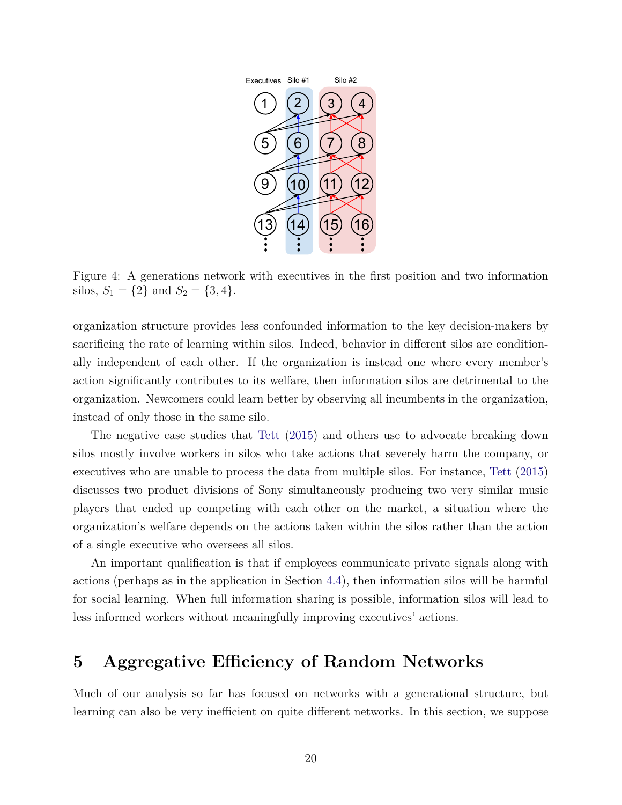<span id="page-20-0"></span>

Figure 4: A generations network with executives in the first position and two information silos,  $S_1 = \{2\}$  and  $S_2 = \{3, 4\}.$ 

organization structure provides less confounded information to the key decision-makers by sacrificing the rate of learning within silos. Indeed, behavior in different silos are conditionally independent of each other. If the organization is instead one where every member's action significantly contributes to its welfare, then information silos are detrimental to the organization. Newcomers could learn better by observing all incumbents in the organization, instead of only those in the same silo.

The negative case studies that [Tett](#page-26-5) [\(2015\)](#page-26-5) and others use to advocate breaking down silos mostly involve workers in silos who take actions that severely harm the company, or executives who are unable to process the data from multiple silos. For instance, [Tett](#page-26-5) [\(2015\)](#page-26-5) discusses two product divisions of Sony simultaneously producing two very similar music players that ended up competing with each other on the market, a situation where the organization's welfare depends on the actions taken within the silos rather than the action of a single executive who oversees all silos.

An important qualification is that if employees communicate private signals along with actions (perhaps as in the application in Section [4.4\)](#page-17-2), then information silos will be harmful for social learning. When full information sharing is possible, information silos will lead to less informed workers without meaningfully improving executives' actions.

## **5 Aggregative Efficiency of Random Networks**

Much of our analysis so far has focused on networks with a generational structure, but learning can also be very inefficient on quite different networks. In this section, we suppose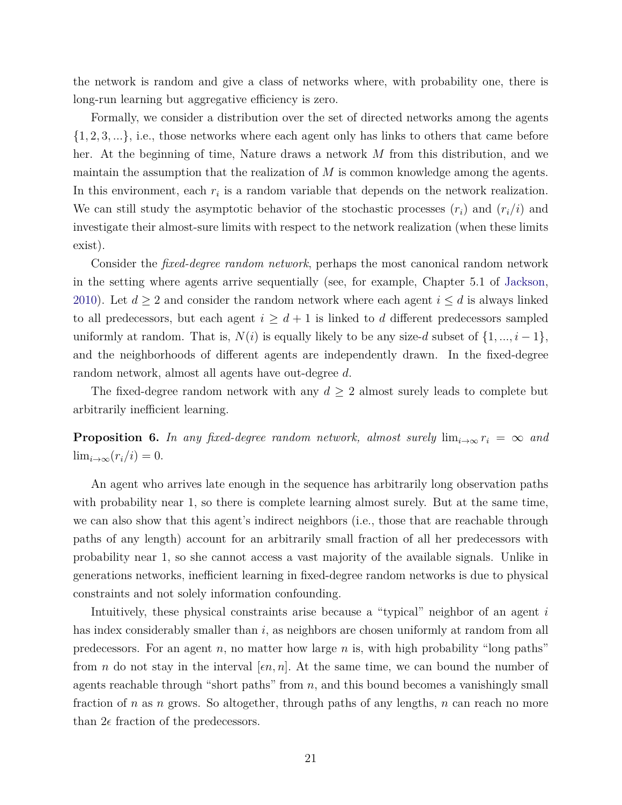the network is random and give a class of networks where, with probability one, there is long-run learning but aggregative efficiency is zero.

Formally, we consider a distribution over the set of directed networks among the agents {1*,* 2*,* 3*, ...*}, i.e., those networks where each agent only has links to others that came before her. At the beginning of time, Nature draws a network *M* from this distribution, and we maintain the assumption that the realization of *M* is common knowledge among the agents. In this environment, each  $r_i$  is a random variable that depends on the network realization. We can still study the asymptotic behavior of the stochastic processes  $(r_i)$  and  $(r_i/i)$  and investigate their almost-sure limits with respect to the network realization (when these limits exist).

Consider the *fixed-degree random network*, perhaps the most canonical random network in the setting where agents arrive sequentially (see, for example, Chapter 5.1 of [Jackson,](#page-25-13) [2010\)](#page-25-13). Let  $d \geq 2$  and consider the random network where each agent  $i \leq d$  is always linked to all predecessors, but each agent  $i \geq d+1$  is linked to *d* different predecessors sampled uniformly at random. That is,  $N(i)$  is equally likely to be any size-*d* subset of  $\{1, ..., i - 1\}$ , and the neighborhoods of different agents are independently drawn. In the fixed-degree random network, almost all agents have out-degree *d*.

The fixed-degree random network with any  $d \geq 2$  almost surely leads to complete but arbitrarily inefficient learning.

<span id="page-21-0"></span>**Proposition 6.** *In any fixed-degree random network, almost surely*  $\lim_{i\to\infty} r_i = \infty$  and  $\lim_{i\to\infty}(r_i/i)=0.$ 

An agent who arrives late enough in the sequence has arbitrarily long observation paths with probability near 1, so there is complete learning almost surely. But at the same time, we can also show that this agent's indirect neighbors (i.e., those that are reachable through paths of any length) account for an arbitrarily small fraction of all her predecessors with probability near 1, so she cannot access a vast majority of the available signals. Unlike in generations networks, inefficient learning in fixed-degree random networks is due to physical constraints and not solely information confounding.

Intuitively, these physical constraints arise because a "typical" neighbor of an agent *i* has index considerably smaller than *i*, as neighbors are chosen uniformly at random from all predecessors. For an agent *n,* no matter how large *n* is, with high probability "long paths" from *n* do not stay in the interval  $[\epsilon n, n]$ . At the same time, we can bound the number of agents reachable through "short paths" from *n*, and this bound becomes a vanishingly small fraction of *n* as *n* grows. So altogether, through paths of any lengths, *n* can reach no more than  $2\epsilon$  fraction of the predecessors.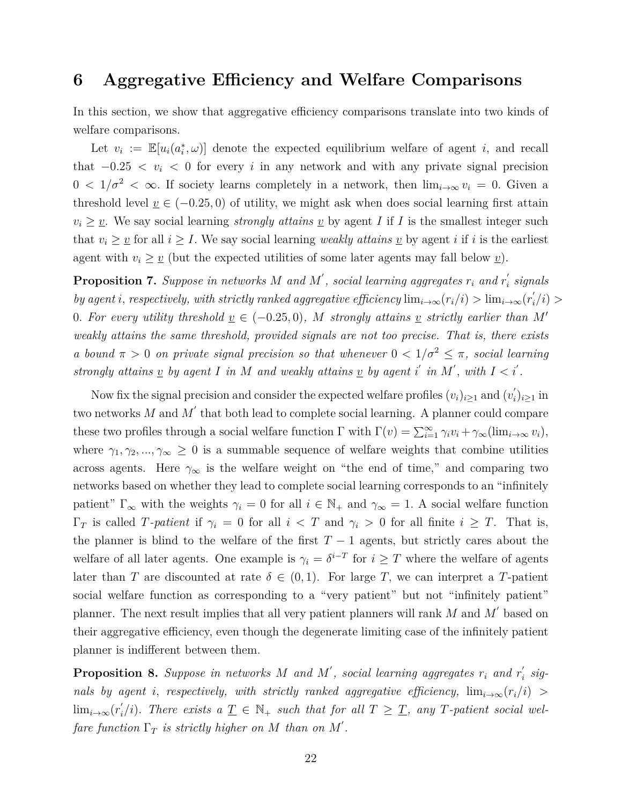### <span id="page-22-0"></span>**6 Aggregative Efficiency and Welfare Comparisons**

In this section, we show that aggregative efficiency comparisons translate into two kinds of welfare comparisons.

Let  $v_i := \mathbb{E}[u_i(a_i^*, \omega)]$  denote the expected equilibrium welfare of agent *i*, and recall that  $-0.25 < v_i < 0$  for every *i* in any network and with any private signal precision  $0 < 1/\sigma^2 < \infty$ . If society learns completely in a network, then  $\lim_{i\to\infty} v_i = 0$ . Given a threshold level  $\underline{v} \in (-0.25, 0)$  of utility, we might ask when does social learning first attain  $v_i \geq v$ . We say social learning *strongly attains*  $v$  by agent *I* if *I* is the smallest integer such that  $v_i \geq v$  for all  $i \geq I$ . We say social learning *weakly attains*  $v$  by agent *i* if *i* is the earliest agent with  $v_i \geq v$  (but the expected utilities of some later agents may fall below  $v$ ).

<span id="page-22-1"></span>**Proposition 7.** *Suppose in networks*  $M$  *and*  $M'$ , *social learning aggregates*  $r_i$  *and*  $r_i'$ *i signals by agent i, respectively, with strictly ranked aggregative efficiency*  $\lim_{i\to\infty} (r_i/i) > \lim_{i\to\infty} (r'_i$ *i /i*) *>* 0*.* For every utility threshold  $\underline{v} \in (-0.25, 0)$ , M strongly attains  $\underline{v}$  strictly earlier than M' *weakly attains the same threshold, provided signals are not too precise. That is, there exists a bound*  $\pi > 0$  *on private signal precision so that whenever*  $0 < 1/\sigma^2 \leq \pi$ , social learning *strongly attains*  $\underline{v}$  *by agent*  $I$  *in*  $M$  *and weakly attains*  $\underline{v}$  *by agent*  $i'$  *in*  $M'$ *, with*  $I < i'$ *.* 

Now fix the signal precision and consider the expected welfare profiles  $(v_i)_{i\geq 1}$  and  $(v'_i)$ *i* )*i*≥<sup>1</sup> in two networks  $M$  and  $M'$  that both lead to complete social learning. A planner could compare these two profiles through a social welfare function  $\Gamma$  with  $\Gamma(v) = \sum_{i=1}^{\infty} \gamma_i v_i + \gamma_{\infty}(\lim_{i \to \infty} v_i)$ , where  $\gamma_1, \gamma_2, ..., \gamma_\infty \geq 0$  is a summable sequence of welfare weights that combine utilities across agents. Here  $\gamma_{\infty}$  is the welfare weight on "the end of time," and comparing two networks based on whether they lead to complete social learning corresponds to an "infinitely patient"  $\Gamma_{\infty}$  with the weights  $\gamma_i = 0$  for all  $i \in \mathbb{N}_+$  and  $\gamma_{\infty} = 1$ . A social welfare function  $\Gamma_T$  is called *T*-patient if  $\gamma_i = 0$  for all  $i < T$  and  $\gamma_i > 0$  for all finite  $i \geq T$ . That is, the planner is blind to the welfare of the first  $T-1$  agents, but strictly cares about the welfare of all later agents. One example is  $\gamma_i = \delta^{i-T}$  for  $i \geq T$  where the welfare of agents later than *T* are discounted at rate  $\delta \in (0,1)$ . For large *T*, we can interpret a *T*-patient social welfare function as corresponding to a "very patient" but not "infinitely patient" planner. The next result implies that all very patient planners will rank *M* and *M* ′ based on their aggregative efficiency, even though the degenerate limiting case of the infinitely patient planner is indifferent between them.

<span id="page-22-2"></span>**Proposition 8.** Suppose in networks M and M', social learning aggregates  $r_i$  and  $r'_i$ *i signals by agent i, respectively, with strictly ranked aggregative efficiency,*  $\lim_{i\to\infty} (r_i/i)$  $\lim_{i\to\infty} (r'_i)$  $\int_{i}^{'}$ , *i*)*. There exists a*  $\underline{T} \in \mathbb{N}_{+}$  *such that for all*  $T \geq \underline{T}$ *, any T-patient social welfare function*  $\Gamma_T$  *is strictly higher on M than on M'*.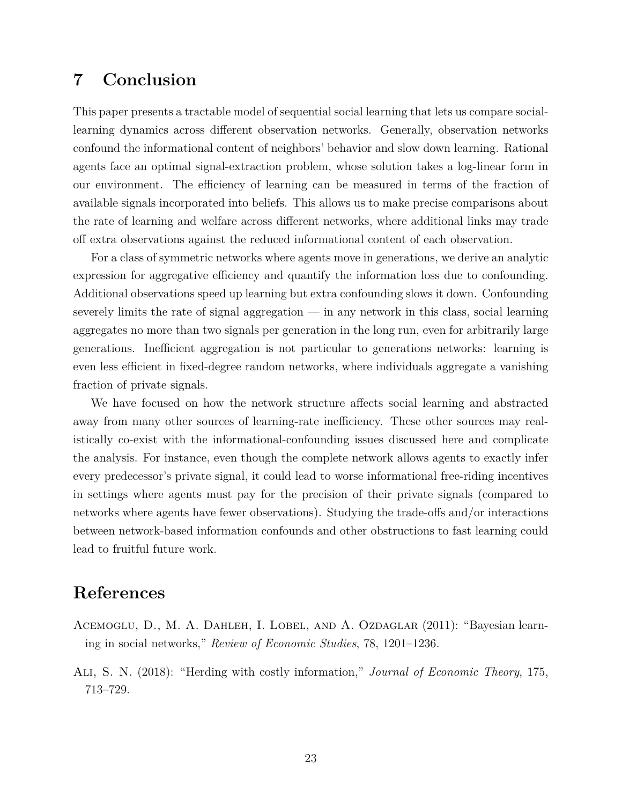## **7 Conclusion**

This paper presents a tractable model of sequential social learning that lets us compare sociallearning dynamics across different observation networks. Generally, observation networks confound the informational content of neighbors' behavior and slow down learning. Rational agents face an optimal signal-extraction problem, whose solution takes a log-linear form in our environment. The efficiency of learning can be measured in terms of the fraction of available signals incorporated into beliefs. This allows us to make precise comparisons about the rate of learning and welfare across different networks, where additional links may trade off extra observations against the reduced informational content of each observation.

For a class of symmetric networks where agents move in generations, we derive an analytic expression for aggregative efficiency and quantify the information loss due to confounding. Additional observations speed up learning but extra confounding slows it down. Confounding severely limits the rate of signal aggregation — in any network in this class, social learning aggregates no more than two signals per generation in the long run, even for arbitrarily large generations. Inefficient aggregation is not particular to generations networks: learning is even less efficient in fixed-degree random networks, where individuals aggregate a vanishing fraction of private signals.

We have focused on how the network structure affects social learning and abstracted away from many other sources of learning-rate inefficiency. These other sources may realistically co-exist with the informational-confounding issues discussed here and complicate the analysis. For instance, even though the complete network allows agents to exactly infer every predecessor's private signal, it could lead to worse informational free-riding incentives in settings where agents must pay for the precision of their private signals (compared to networks where agents have fewer observations). Studying the trade-offs and/or interactions between network-based information confounds and other obstructions to fast learning could lead to fruitful future work.

### **References**

- <span id="page-23-0"></span>ACEMOGLU, D., M. A. DAHLEH, I. LOBEL, AND A. OZDAGLAR (2011): "Bayesian learning in social networks," *Review of Economic Studies*, 78, 1201–1236.
- <span id="page-23-1"></span>Ali, S. N. (2018): "Herding with costly information," *Journal of Economic Theory*, 175, 713–729.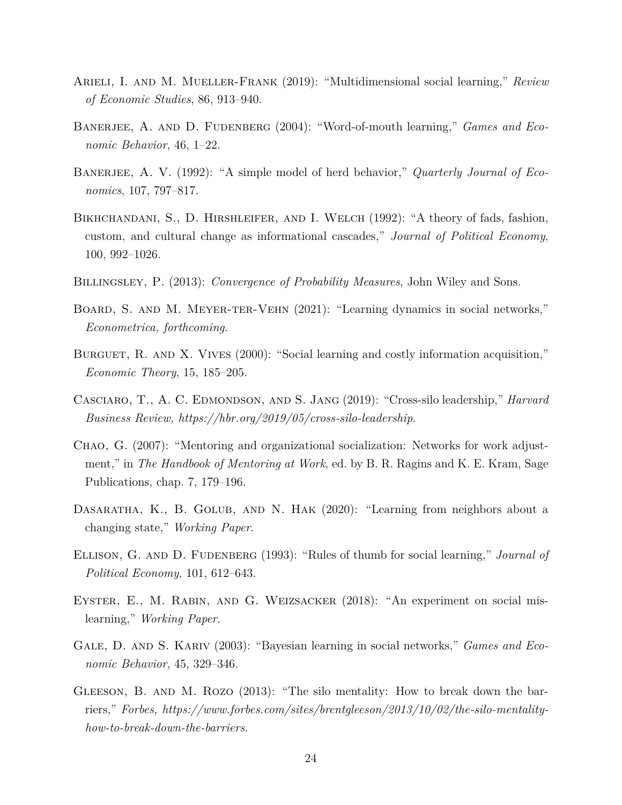- <span id="page-24-3"></span>Arieli, I. and M. Mueller-Frank (2019): "Multidimensional social learning," *Review of Economic Studies*, 86, 913–940.
- <span id="page-24-7"></span>BANERJEE, A. AND D. FUDENBERG (2004): "Word-of-mouth learning," *Games and Economic Behavior*, 46, 1–22.
- <span id="page-24-0"></span>BANERJEE, A. V. (1992): "A simple model of herd behavior," *Quarterly Journal of Economics*, 107, 797–817.
- <span id="page-24-1"></span>BIKHCHANDANI, S., D. HIRSHLEIFER, AND I. WELCH (1992): "A theory of fads, fashion, custom, and cultural change as informational cascades," *Journal of Political Economy*, 100, 992–1026.
- <span id="page-24-13"></span>Billingsley, P. (2013): *Convergence of Probability Measures*, John Wiley and Sons.
- <span id="page-24-4"></span>BOARD, S. AND M. MEYER-TER-VEHN (2021): "Learning dynamics in social networks," *Econometrica, forthcoming*.
- <span id="page-24-6"></span>BURGUET, R. AND X. VIVES (2000): "Social learning and costly information acquisition," *Economic Theory*, 15, 185–205.
- <span id="page-24-12"></span>Casciaro, T., A. C. Edmondson, and S. Jang (2019): "Cross-silo leadership," *Harvard Business Review, https://hbr.org/2019/05/cross-silo-leadership*.
- <span id="page-24-10"></span>Chao, G. (2007): "Mentoring and organizational socialization: Networks for work adjustment," in *The Handbook of Mentoring at Work*, ed. by B. R. Ragins and K. E. Kram, Sage Publications, chap. 7, 179–196.
- <span id="page-24-8"></span>DASARATHA, K., B. GOLUB, AND N. HAK (2020): "Learning from neighbors about a changing state," *Working Paper*.
- <span id="page-24-2"></span>Ellison, G. and D. Fudenberg (1993): "Rules of thumb for social learning," *Journal of Political Economy*, 101, 612–643.
- <span id="page-24-9"></span>EYSTER, E., M. RABIN, AND G. WEIZSACKER (2018): "An experiment on social mislearning," *Working Paper*.
- <span id="page-24-5"></span>GALE, D. AND S. KARIV (2003): "Bayesian learning in social networks," *Games and Economic Behavior*, 45, 329–346.
- <span id="page-24-11"></span>GLEESON, B. AND M. ROZO (2013): "The silo mentality: How to break down the barriers," *Forbes, https://www.forbes.com/sites/brentgleeson/2013/10/02/the-silo-mentalityhow-to-break-down-the-barriers*.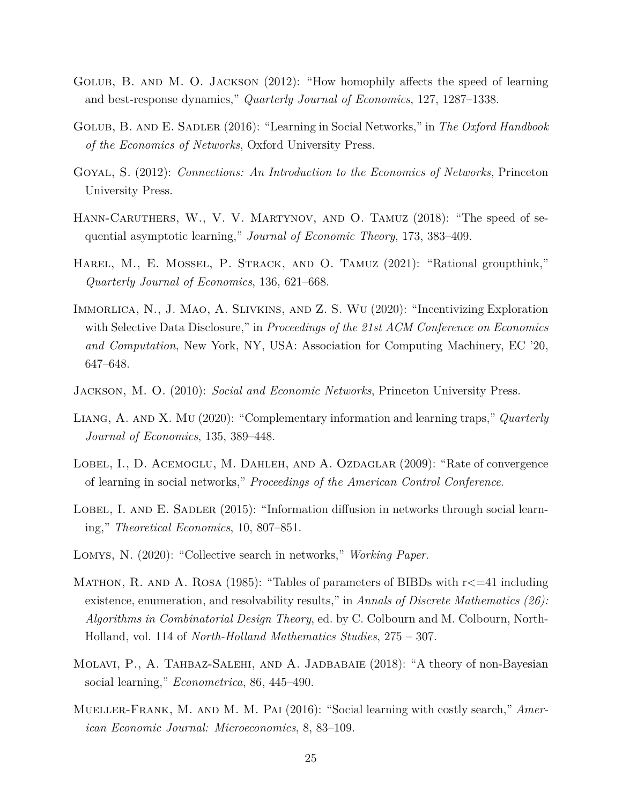- <span id="page-25-3"></span>Golub, B. and M. O. Jackson (2012): "How homophily affects the speed of learning and best-response dynamics," *Quarterly Journal of Economics*, 127, 1287–1338.
- <span id="page-25-0"></span>Golub, B. and E. Sadler (2016): "Learning in Social Networks," in *The Oxford Handbook of the Economics of Networks*, Oxford University Press.
- <span id="page-25-6"></span>Goyal, S. (2012): *Connections: An Introduction to the Economics of Networks*, Princeton University Press.
- <span id="page-25-7"></span>HANN-CARUTHERS, W., V. V. MARTYNOV, AND O. TAMUZ (2018): "The speed of sequential asymptotic learning," *Journal of Economic Theory*, 173, 383–409.
- <span id="page-25-1"></span>Harel, M., E. Mossel, P. Strack, and O. Tamuz (2021): "Rational groupthink," *Quarterly Journal of Economics*, 136, 621–668.
- <span id="page-25-12"></span>Immorlica, N., J. Mao, A. Slivkins, and Z. S. Wu (2020): "Incentivizing Exploration with Selective Data Disclosure," in *Proceedings of the 21st ACM Conference on Economics and Computation*, New York, NY, USA: Association for Computing Machinery, EC '20, 647–648.
- <span id="page-25-13"></span>Jackson, M. O. (2010): *Social and Economic Networks*, Princeton University Press.
- <span id="page-25-10"></span>Liang, A. and X. Mu (2020): "Complementary information and learning traps," *Quarterly Journal of Economics*, 135, 389–448.
- <span id="page-25-5"></span>LOBEL, I., D. ACEMOGLU, M. DAHLEH, AND A. OZDAGLAR (2009): "Rate of convergence of learning in social networks," *Proceedings of the American Control Conference*.
- <span id="page-25-4"></span>LOBEL, I. AND E. SADLER  $(2015)$ : "Information diffusion in networks through social learning," *Theoretical Economics*, 10, 807–851.
- <span id="page-25-9"></span>Lomys, N. (2020): "Collective search in networks," *Working Paper*.
- <span id="page-25-11"></span>MATHON, R. AND A. ROSA (1985): "Tables of parameters of BIBDs with  $r \leq 41$  including existence, enumeration, and resolvability results," in *Annals of Discrete Mathematics (26): Algorithms in Combinatorial Design Theory*, ed. by C. Colbourn and M. Colbourn, North-Holland, vol. 114 of *North-Holland Mathematics Studies*, 275 – 307.
- <span id="page-25-2"></span>Molavi, P., A. Tahbaz-Salehi, and A. Jadbabaie (2018): "A theory of non-Bayesian social learning," *Econometrica*, 86, 445–490.
- <span id="page-25-8"></span>Mueller-Frank, M. and M. M. Pai (2016): "Social learning with costly search," *American Economic Journal: Microeconomics*, 8, 83–109.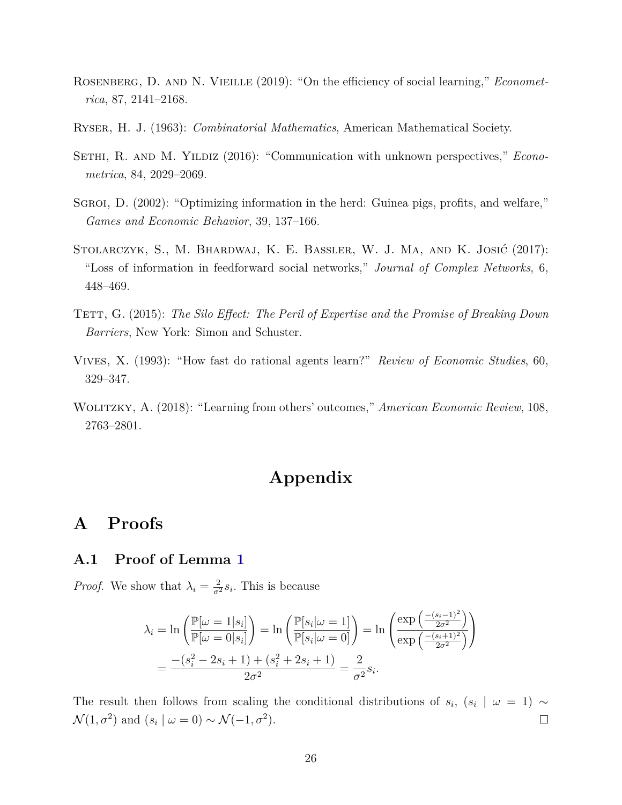- <span id="page-26-0"></span>Rosenberg, D. and N. Vieille (2019): "On the efficiency of social learning," *Econometrica*, 87, 2141–2168.
- <span id="page-26-7"></span>Ryser, H. J. (1963): *Combinatorial Mathematics*, American Mathematical Society.
- <span id="page-26-6"></span>SETHI, R. AND M. YILDIZ (2016): "Communication with unknown perspectives," *Econometrica*, 84, 2029–2069.
- <span id="page-26-1"></span>SGROI, D. (2002): "Optimizing information in the herd: Guinea pigs, profits, and welfare," *Games and Economic Behavior*, 39, 137–166.
- <span id="page-26-4"></span>Stolarczyk, S., M. Bhardwaj, K. E. Bassler, W. J. Ma, and K. Josić (2017): "Loss of information in feedforward social networks," *Journal of Complex Networks*, 6, 448–469.
- <span id="page-26-5"></span>Tett, G. (2015): *The Silo Effect: The Peril of Expertise and the Promise of Breaking Down Barriers*, New York: Simon and Schuster.
- <span id="page-26-2"></span>Vives, X. (1993): "How fast do rational agents learn?" *Review of Economic Studies*, 60, 329–347.
- <span id="page-26-3"></span>Wolitzky, A. (2018): "Learning from others' outcomes," *American Economic Review*, 108, 2763–2801.

## **Appendix**

## **A Proofs**

### **A.1 Proof of Lemma [1](#page-9-1)**

*Proof.* We show that  $\lambda_i = \frac{2}{\sigma^2} s_i$ . This is because

$$
\lambda_i = \ln \left( \frac{\mathbb{P}[\omega = 1|s_i]}{\mathbb{P}[\omega = 0|s_i]} \right) = \ln \left( \frac{\mathbb{P}[s_i|\omega = 1]}{\mathbb{P}[s_i|\omega = 0]} \right) = \ln \left( \frac{\exp \left( \frac{-(s_i - 1)^2}{2\sigma^2} \right)}{\exp \left( \frac{-(s_i + 1)^2}{2\sigma^2} \right)} \right)
$$

$$
= \frac{-(s_i^2 - 2s_i + 1) + (s_i^2 + 2s_i + 1)}{2\sigma^2} = \frac{2}{\sigma^2} s_i.
$$

The result then follows from scaling the conditional distributions of  $s_i$ ,  $(s_i | \omega = 1)$  ~  $\mathcal{N}(1, \sigma^2)$  and  $(s_i | \omega = 0) \sim \mathcal{N}(-1, \sigma^2)$ .  $\Box$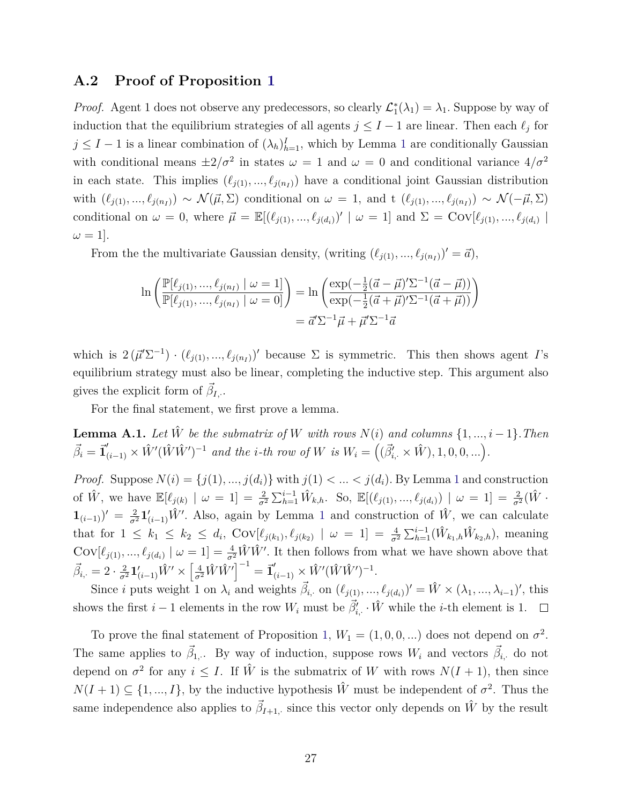### **A.2 Proof of Proposition [1](#page-8-1)**

*Proof.* Agent 1 does not observe any predecessors, so clearly  $\mathcal{L}_1^*(\lambda_1) = \lambda_1$ . Suppose by way of induction that the equilibrium strategies of all agents  $j \leq I - 1$  are linear. Then each  $\ell_j$  for  $j \leq I - 1$  $j \leq I - 1$  is a linear combination of  $(\lambda_h)_{h=1}^I$ , which by Lemma 1 are conditionally Gaussian with conditional means  $\pm 2/\sigma^2$  in states  $\omega = 1$  and  $\omega = 0$  and conditional variance  $4/\sigma^2$ in each state. This implies  $(\ell_{j(1)}, ..., \ell_{j(n)})$  have a conditional joint Gaussian distribution with  $(\ell_{j(1)}, ..., \ell_{j(n_I)}) \sim \mathcal{N}(\vec{\mu}, \Sigma)$  conditional on  $\omega = 1$ , and t  $(\ell_{j(1)}, ..., \ell_{j(n_I)}) \sim \mathcal{N}(-\vec{\mu}, \Sigma)$ conditional on  $\omega = 0$ , where  $\vec{\mu} = \mathbb{E}[(\ell_{j(1)}, ..., \ell_{j(d_i)})' | \omega = 1]$  and  $\Sigma = \text{Cov}[\ell_{j(1)}, ..., \ell_{j(d_i)}]$  $\omega = 1$ .

From the the multivariate Gaussian density, (writing  $(\ell_{j(1)}, ..., \ell_{j(n)}')' = \vec{a}$ ),

$$
\ln\left(\frac{\mathbb{P}[\ell_{j(1)},...,\ell_{j(n)} | \omega = 1]}{\mathbb{P}[\ell_{j(1)},...,\ell_{j(n)} | \omega = 0]}\right) = \ln\left(\frac{\exp(-\frac{1}{2}(\vec{a} - \vec{\mu})'\Sigma^{-1}(\vec{a} - \vec{\mu}))}{\exp(-\frac{1}{2}(\vec{a} + \vec{\mu})'\Sigma^{-1}(\vec{a} + \vec{\mu}))}\right)
$$

$$
= \vec{a}'\Sigma^{-1}\vec{\mu} + \vec{\mu}'\Sigma^{-1}\vec{a}
$$

which is  $2(\vec{\mu}'\Sigma^{-1}) \cdot (\ell_{j(1)},...,\ell_{j(n)}')'$  because  $\Sigma$  is symmetric. This then shows agent *I*'s equilibrium strategy must also be linear, completing the inductive step. This argument also gives the explicit form of  $\vec{\beta}_{I,\cdot}$ .

For the final statement, we first prove a lemma.

**Lemma A.1.** *Let*  $\hat{W}$  *be the submatrix of*  $W$  *with rows*  $N(i)$  *and columns*  $\{1, ..., i-1\}$ *. Then*  $\vec{\beta}_i = \vec{\mathbf{1}}'_{(i-1)} \times \hat{W}'(\hat{W}\hat{W}')^{-1}$  and the *i*-th row of W is  $W_i = ((\vec{\beta}'_{i, \cdot} \times \hat{W}), 1, 0, 0, ...)$ .

*Proof.* Suppose  $N(i) = \{j(1), ..., j(d_i)\}$  $N(i) = \{j(1), ..., j(d_i)\}$  $N(i) = \{j(1), ..., j(d_i)\}$  with  $j(1) < ... < j(d_i)$ . By Lemma 1 and construction of  $\hat{W}$ , we have  $\mathbb{E}[\ell_{j(k)} | \omega = 1] = \frac{2}{\sigma^2} \sum_{h=1}^{i-1} \hat{W}_{k,h}$ . So,  $\mathbb{E}[(\ell_{j(1)},...,\ell_{j(d_i)}) | \omega = 1] = \frac{2}{\sigma^2}(\hat{W} \cdot \hat{W}_{k,h})$  $\mathbf{1}_{(i-1)}$  $\mathbf{1}_{(i-1)}$  $\mathbf{1}_{(i-1)}$ )' =  $\frac{2}{\sigma^2} \mathbf{1}'_{(i-1)} \hat{W}'$ . Also, again by Lemma 1 and construction of  $\hat{W}$ , we can calculate that for  $1 \leq k_1 \leq k_2 \leq d_i$ ,  $Cov[\ell_{j(k_1)}, \ell_{j(k_2)} | \omega = 1] = \frac{4}{\sigma^2} \sum_{h=1}^{i-1} (\hat{W}_{k_1,h} \hat{W}_{k_2,h})$ , meaning  $Cov[\ell_{j(1)},...,\ell_{j(d_i)} | \omega = 1] = \frac{4}{\sigma^2} \hat{W} \hat{W}'$ . It then follows from what we have shown above that  $\vec{\beta}_{i,\cdot} = 2 \cdot \frac{2}{\sigma^2} \mathbf{1}'_{(i-1)} \hat{W}' \times \left[ \frac{4}{\sigma^2} \hat{W} \hat{W}' \right]^{-1} = \vec{\mathbf{1}}'_{(i-1)} \times \hat{W}' (\hat{W} \hat{W}')^{-1}.$ 

Since *i* puts weight 1 on  $\lambda_i$  and weights  $\vec{\beta}_{i,j}$  on  $(\ell_{j(1)}, ..., \ell_{j(d_i)})' = \hat{W} \times (\lambda_1, ..., \lambda_{i-1})'$ , this shows the first  $i-1$  elements in the row  $W_i$  must be  $\vec{\beta}'_{i,\cdot} \cdot \hat{W}$  while the *i*-th element is 1.

To prove the final statement of Proposition [1,](#page-8-1)  $W_1 = (1, 0, 0, \ldots)$  does not depend on  $\sigma^2$ . The same applies to  $\vec{\beta}_{1}$ . By way of induction, suppose rows  $W_i$  and vectors  $\vec{\beta}_{i}$ , do not depend on  $\sigma^2$  for any  $i \leq I$ . If  $\hat{W}$  is the submatrix of *W* with rows  $N(I + 1)$ , then since  $N(I + 1) \subseteq \{1, ..., I\}$ , by the inductive hypothesis  $\hat{W}$  must be independent of  $\sigma^2$ . Thus the same independence also applies to  $\vec{\beta}_{I+1, \cdot}$  since this vector only depends on  $\hat{W}$  by the result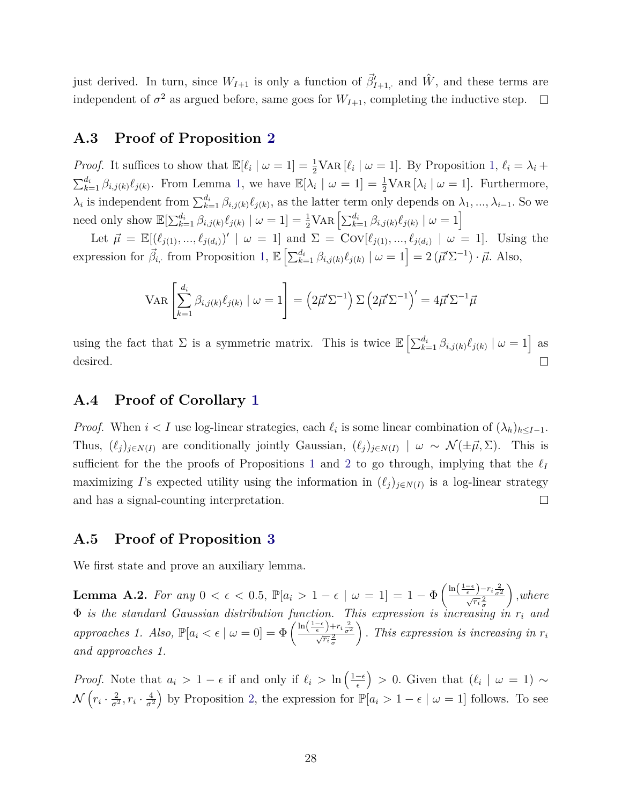just derived. In turn, since  $W_{I+1}$  is only a function of  $\vec{\beta}'_{I+1}$ , and  $\hat{W}$ , and these terms are independent of  $\sigma^2$  as argued before, same goes for  $W_{I+1}$ , completing the inductive step.

### **A.3 Proof of Proposition [2](#page-9-2)**

*Proof.* It suffices to show that  $\mathbb{E}[\ell_i \mid \omega = 1] = \frac{1}{2} \text{VAR}[\ell_i \mid \omega = 1]$ . By Proposition [1,](#page-8-1)  $\ell_i = \lambda_i +$  $\sum_{k=1}^{d_i} \beta_{i,j(k)} \ell_{j(k)}$ . From Lemma [1,](#page-9-1) we have  $\mathbb{E}[\lambda_i \mid \omega = 1] = \frac{1}{2} \text{VAR}[\lambda_i \mid \omega = 1]$ . Furthermore,  $\lambda_i$  is independent from  $\sum_{k=1}^{d_i} \beta_{i,j(k)} \ell_{j(k)}$ , as the latter term only depends on  $\lambda_1, ..., \lambda_{i-1}$ . So we need only show  $\mathbb{E}[\sum_{k=1}^{d_i} \beta_{i,j(k)} \ell_{j(k)} | \omega = 1] = \frac{1}{2} \text{VAR} \left[\sum_{k=1}^{d_i} \beta_{i,j(k)} \ell_{j(k)} | \omega = 1\right]$ 

Let  $\vec{\mu} = \mathbb{E}[(\ell_{j(1)}, ..., \ell_{j(d_i)})' | \omega = 1]$  and  $\Sigma = \text{Cov}[\ell_{j(1)}, ..., \ell_{j(d_i)} | \omega = 1]$ . Using the expression for  $\vec{\beta}_{i}$ , from Proposition [1,](#page-8-1)  $\mathbb{E}\left[\sum_{k=1}^{d_i} \beta_{i,j(k)} \ell_{j(k)} \mid \omega = 1\right] = 2(\vec{\mu}' \Sigma^{-1}) \cdot \vec{\mu}$ . Also,

$$
VAR \left[\sum_{k=1}^{d_i} \beta_{i,j(k)} \ell_{j(k)} \mid \omega = 1\right] = \left(2\vec{\mu}' \Sigma^{-1}\right) \Sigma \left(2\vec{\mu}' \Sigma^{-1}\right)' = 4\vec{\mu}' \Sigma^{-1} \vec{\mu}
$$

using the fact that  $\Sigma$  is a symmetric matrix. This is twice  $\mathbb{E}\left[\sum_{k=1}^{d_i} \beta_{i,j(k)} \ell_{j(k)} \mid \omega = 1\right]$  as desired.  $\Box$ 

#### **A.4 Proof of Corollary [1](#page-10-0)**

*Proof.* When  $i < I$  use log-linear strategies, each  $\ell_i$  is some linear combination of  $(\lambda_h)_{h \leq I-1}$ . Thus,  $(\ell_j)_{j \in N(I)}$  are conditionally jointly Gaussian,  $(\ell_j)_{j \in N(I)} \mid \omega \sim \mathcal{N}(\pm \vec{\mu}, \Sigma)$ . This is sufficient for the the proofs of Propositions [1](#page-8-1) and [2](#page-9-2) to go through, implying that the  $\ell_I$ maximizing *I*'s expected utility using the information in  $(\ell_j)_{j \in N(I)}$  is a log-linear strategy and has a signal-counting interpretation.  $\Box$ 

#### **A.5 Proof of Proposition [3](#page-11-0)**

We first state and prove an auxiliary lemma.

<span id="page-28-0"></span>**Lemma A.2.** For any  $0 < \epsilon < 0.5$ ,  $\mathbb{P}[a_i > 1 - \epsilon \mid \omega = 1] = 1 - \Phi\left(\frac{\ln\left(\frac{1-\epsilon}{\epsilon}\right) - r_i \frac{2}{\sigma^2}}{\sqrt{r_i} \frac{2}{\sigma}}\right)$  *,where* Φ *is the standard Gaussian distribution function. This expression is increasing in r<sup>i</sup> and approaches 1. Also,*  $\mathbb{P}[a_i < \epsilon \mid \omega = 0] = \Phi\left(\frac{\ln\left(\frac{1-\epsilon}{\epsilon}\right) + r_i \frac{2}{\sigma^2}}{\sqrt{r_i} \frac{2}{\sigma}}\right)$  $\bigg)$ . *This expression is increasing in*  $r_i$ *and approaches 1.*

*Proof.* Note that  $a_i > 1 - \epsilon$  if and only if  $\ell_i > \ln \left( \frac{1 - \epsilon}{\epsilon} \right)$ *ϵ*  $\left( \begin{array}{c} \circ \\ \circ \end{array} \right)$  > 0. Given that  $\left( \begin{array}{c} \ell_i \end{array} \right|$  *ω* = 1) ∼  $\mathcal{N}\left(r_i\cdot\frac{2}{\sigma^2}\right)$  $\frac{2}{\sigma^2}$ ,  $r_i \cdot \frac{4}{\sigma^2}$ *σ*<sup>2</sup> by Proposition [2,](#page-9-2) the expression for  $\mathbb{P}[a_i > 1 - \epsilon \mid \omega = 1]$  follows. To see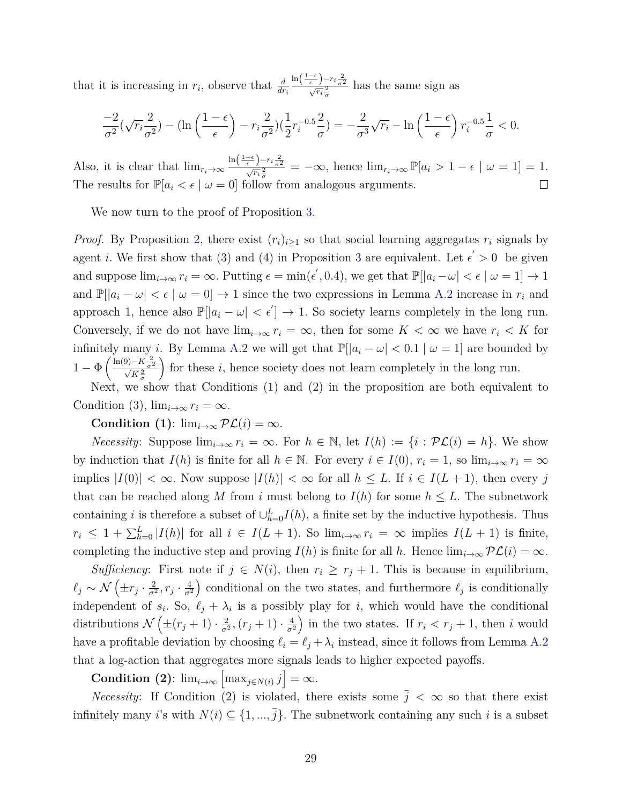that it is increasing in  $r_i$ , observe that  $\frac{d}{dr_i}$  $\frac{\ln\left(\frac{1-\epsilon}{\epsilon}\right)-r_i\frac{2}{\sigma^2}}{\sqrt{r_i}\frac{2}{\sigma}}$  has the same sign as

$$
\frac{-2}{\sigma^2}(\sqrt{r_i}\frac{2}{\sigma^2}) - (\ln\left(\frac{1-\epsilon}{\epsilon}\right) - r_i\frac{2}{\sigma^2})(\frac{1}{2}r_i^{-0.5}\frac{2}{\sigma}) = -\frac{2}{\sigma^3}\sqrt{r_i} - \ln\left(\frac{1-\epsilon}{\epsilon}\right)r_i^{-0.5}\frac{1}{\sigma} < 0.
$$

Also, it is clear that  $\lim_{r_i \to \infty} \frac{\ln\left(\frac{1-\epsilon}{\epsilon}\right) - r_i \frac{2}{\sigma^2}}{\sqrt{r_i} \frac{2}{\sigma}} = -\infty$ , hence  $\lim_{r_i \to \infty} \mathbb{P}[a_i > 1 - \epsilon \mid \omega = 1] = 1$ . The results for  $\mathbb{P}[a_i < \epsilon \mid \omega = 0]$  follow from analogous arguments.  $\Box$ 

We now turn to the proof of Proposition [3.](#page-11-0)

*Proof.* By Proposition [2,](#page-9-2) there exist  $(r_i)_{i\geq 1}$  so that social learning aggregates  $r_i$  signals by agent *i*. We first show that ([3](#page-11-0)) and (4) in Proposition 3 are equivalent. Let  $\epsilon' > 0$  be given and suppose  $\lim_{i\to\infty} r_i = \infty$ . Putting  $\epsilon = \min(\epsilon', 0.4)$ , we get that  $\mathbb{P}[|a_i - \omega| < \epsilon \mid \omega = 1] \to 1$ and  $\mathbb{P}[\vert a_i - \omega \vert < \epsilon \vert \omega = 0] \rightarrow 1$  since the two expressions in Lemma [A.2](#page-28-0) increase in  $r_i$  and approach 1, hence also  $\mathbb{P}[|a_i - \omega| < \epsilon'] \to 1$ . So society learns completely in the long run. Conversely, if we do not have  $\lim_{i\to\infty} r_i = \infty$ , then for some  $K < \infty$  we have  $r_i < K$  for infinitely many *i*. By Lemma [A.2](#page-28-0) we will get that  $\mathbb{P}[|a_i - \omega| < 0.1 | \omega = 1]$  are bounded by  $1 - \Phi\left(\frac{\ln(9) - K\frac{2}{\sigma^2}}{\sqrt{K}\frac{2}{\sigma}}\right)$ for these  $i$ , hence society does not learn completely in the long run.

Next, we show that Conditions (1) and (2) in the proposition are both equivalent to Condition (3),  $\lim_{i\to\infty} r_i = \infty$ .

**Condition** (1):  $\lim_{i\to\infty} \mathcal{PL}(i) = \infty$ .

*Necessity*: Suppose  $\lim_{i\to\infty} r_i = \infty$ . For  $h \in \mathbb{N}$ , let  $I(h) := \{i : \mathcal{PL}(i) = h\}$ . We show by induction that  $I(h)$  is finite for all  $h \in \mathbb{N}$ . For every  $i \in I(0)$ ,  $r_i = 1$ , so  $\lim_{i \to \infty} r_i = \infty$ implies  $|I(0)| < \infty$ . Now suppose  $|I(h)| < \infty$  for all  $h \leq L$ . If  $i \in I(L+1)$ , then every *j* that can be reached along *M* from *i* must belong to  $I(h)$  for some  $h \leq L$ . The subnetwork containing *i* is therefore a subset of  $\cup_{h=0}^{L} I(h)$ , a finite set by the inductive hypothesis. Thus  $r_i \leq 1 + \sum_{h=0}^{L} |I(h)|$  for all  $i \in I(L+1)$ . So  $\lim_{i\to\infty} r_i = \infty$  implies  $I(L+1)$  is finite, completing the inductive step and proving  $I(h)$  is finite for all *h*. Hence  $\lim_{i\to\infty} \mathcal{PL}(i) = \infty$ *.* 

*Sufficiency*: First note if  $j \in N(i)$ , then  $r_i \geq r_j + 1$ . This is because in equilibrium,  $\ell_j \sim \mathcal{N}\left(\pm r_j\cdot \frac{2}{\sigma^2}\right)$  $\frac{2}{\sigma^2}$ ,  $r_j \cdot \frac{4}{\sigma^2}$ *σ*<sup>2</sup> ) conditional on the two states, and furthermore  $\ell_j$  is conditionally independent of  $s_i$ . So,  $\ell_j + \lambda_i$  is a possibly play for *i*, which would have the conditional distributions  $\mathcal{N}\left(\pm(r_j+1)\cdot\frac{2}{\sigma^2}\right)$  $\frac{2}{\sigma^2}$ ,  $(r_j + 1) \cdot \frac{4}{\sigma^2}$ *σ*<sup>2</sup> ) in the two states. If  $r_i < r_j + 1$ , then *i* would have a profitable deviation by choosing  $\ell_i = \ell_j + \lambda_i$  instead, since it follows from Lemma [A.2](#page-28-0) that a log-action that aggregates more signals leads to higher expected payoffs.

**Condition** (2):  $\lim_{i\to\infty} \left[\max_{j\in N(i)} j\right] = \infty$ .

*Necessity*: If Condition (2) is violated, there exists some  $\bar{j} < \infty$  so that there exist infinitely many *i*'s with  $N(i) \subseteq \{1, ..., \overline{j}\}$ . The subnetwork containing any such *i* is a subset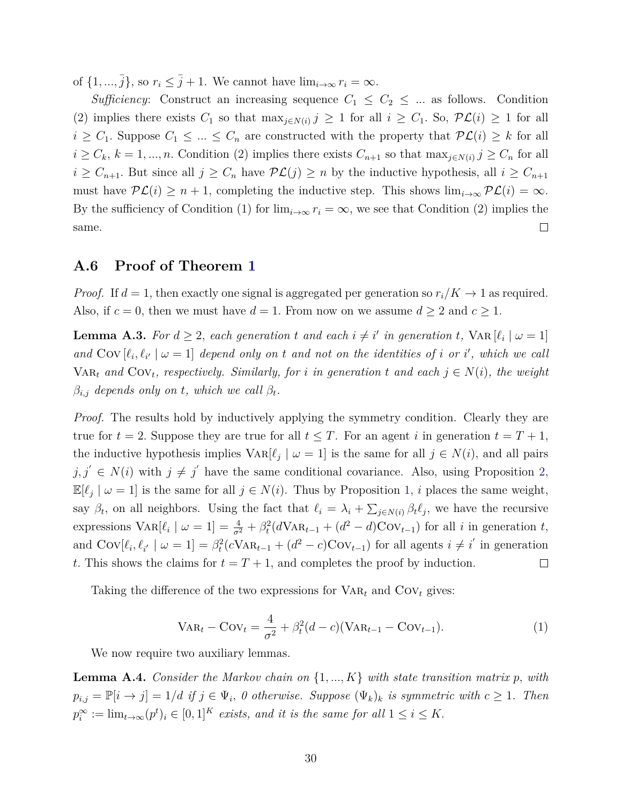of  $\{1, ..., \overline{j}\}$ , so  $r_i \leq \overline{j} + 1$ . We cannot have  $\lim_{i \to \infty} r_i = \infty$ .

*Sufficiency*: Construct an increasing sequence  $C_1 \leq C_2 \leq ...$  as follows. Condition (2) implies there exists  $C_1$  so that  $\max_{j \in N(i)} j \geq 1$  for all  $i \geq C_1$ . So,  $\mathcal{PL}(i) \geq 1$  for all  $i \geq C_1$ . Suppose  $C_1 \leq ... \leq C_n$  are constructed with the property that  $\mathcal{PL}(i) \geq k$  for all  $i \geq C_k$ ,  $k = 1, ..., n$ . Condition (2) implies there exists  $C_{n+1}$  so that  $\max_{j \in N(i)} j \geq C_n$  for all  $i \geq C_{n+1}$ . But since all  $j \geq C_n$  have  $\mathcal{PL}(j) \geq n$  by the inductive hypothesis, all  $i \geq C_{n+1}$ must have  $\mathcal{PL}(i) \geq n+1$ , completing the inductive step. This shows  $\lim_{i\to\infty} \mathcal{PL}(i) = \infty$ . By the sufficiency of Condition (1) for  $\lim_{i\to\infty} r_i = \infty$ , we see that Condition (2) implies the same.  $\Box$ 

#### **A.6 Proof of Theorem [1](#page-14-0)**

*Proof.* If  $d = 1$ , then exactly one signal is aggregated per generation so  $r_i/K \to 1$  as required. Also, if  $c = 0$ , then we must have  $d = 1$ . From now on we assume  $d \geq 2$  and  $c \geq 1$ .

<span id="page-30-0"></span>**Lemma A.3.** For  $d \geq 2$ , each generation  $t$  and each  $i \neq i'$  in generation  $t$ ,  $\text{VAR}[\ell_i | \omega = 1]$ and  $Cov[\ell_i, \ell_{i'} | \omega = 1]$  *depend only on t* and not on the identities of *i* or *i*<sup>'</sup>, which we call  $VAR_t$  *and*  $Cov_t$ , respectively. Similarly, for *i* in generation *t* and each  $j \in N(i)$ , the weight  $\beta_{i,j}$  *depends only on t, which we call*  $\beta_t$ *.* 

*Proof.* The results hold by inductively applying the symmetry condition. Clearly they are true for  $t = 2$ . Suppose they are true for all  $t \leq T$ . For an agent *i* in generation  $t = T + 1$ , the inductive hypothesis implies  $\text{VAR}[\ell_j | \omega = 1]$  is the same for all  $j \in N(i)$ , and all pairs  $j, j' \in N(i)$  with  $j \neq j'$  have the same conditional covariance. Also, using Proposition [2,](#page-9-2)  $\mathbb{E}[\ell_j | \omega = 1]$  is the same for all  $j \in N(i)$ . Thus by Proposition [1,](#page-8-1) *i* places the same weight, say  $\beta_t$ , on all neighbors. Using the fact that  $\ell_i = \lambda_i + \sum_{j \in N(i)} \beta_t \ell_j$ , we have the recursive expressions  $\text{Var}[\ell_i \mid \omega = 1] = \frac{4}{\sigma^2} + \beta_t^2 (d \text{Var}_{t-1} + (d^2 - d) \text{Cov}_{t-1})$  for all *i* in generation *t*, and  $Cov[\ell_i, \ell_{i'} \mid \omega = 1] = \beta_t^2(cVa_{t-1} + (d^2 - c)Cov_{t-1})$  for all agents  $i \neq i'$  in generation *t*. This shows the claims for  $t = T + 1$ , and completes the proof by induction.  $\Box$ 

Taking the difference of the two expressions for  $VAR_t$  and  $Cov_t$  gives:

<span id="page-30-2"></span>
$$
VAR_t - Cov_t = \frac{4}{\sigma^2} + \beta_t^2 (d - c) (VAR_{t-1} - Cov_{t-1}).
$$
\n(1)

We now require two auxiliary lemmas.

<span id="page-30-1"></span>**Lemma A.4.** *Consider the Markov chain on* {1*, ..., K*} *with state transition matrix p, with*  $p_{i,j} = \mathbb{P}[i \to j] = 1/d$  *if*  $j \in \Psi_i$ , 0 otherwise. Suppose  $(\Psi_k)_k$  *is symmetric with*  $c \geq 1$ *. Then*  $p_i^{\infty} := \lim_{t \to \infty} (p^t)_i \in [0, 1]^K$  *exists, and it is the same for all*  $1 \le i \le K$ .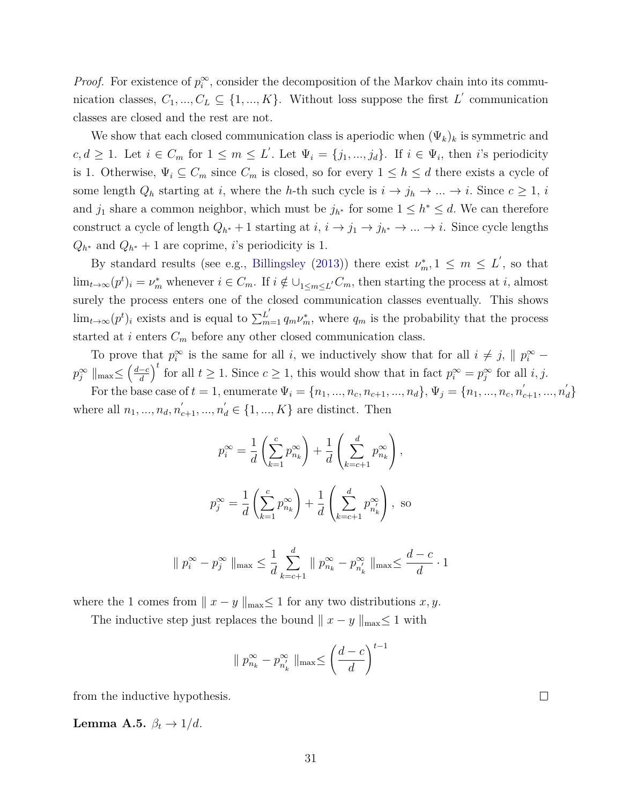*Proof.* For existence of  $p_i^{\infty}$ , consider the decomposition of the Markov chain into its communication classes,  $C_1, ..., C_L \subseteq \{1, ..., K\}$ . Without loss suppose the first  $L'$  communication classes are closed and the rest are not.

We show that each closed communication class is aperiodic when (Ψ*k*)*<sup>k</sup>* is symmetric and  $c, d \geq 1$ . Let  $i \in C_m$  for  $1 \leq m \leq L'$ . Let  $\Psi_i = \{j_1, ..., j_d\}$ . If  $i \in \Psi_i$ , then *i*'s periodicity is 1. Otherwise,  $\Psi_i \subseteq C_m$  since  $C_m$  is closed, so for every  $1 \leq h \leq d$  there exists a cycle of some length  $Q_h$  starting at *i*, where the *h*-th such cycle is  $i \to j_h \to \ldots \to i$ . Since  $c \geq 1$ , *i* and  $j_1$  share a common neighbor, which must be  $j_{h^*}$  for some  $1 \leq h^* \leq d$ . We can therefore construct a cycle of length  $Q_{h^*} + 1$  starting at  $i, i \rightarrow j_1 \rightarrow j_{h^*} \rightarrow \dots \rightarrow i$ . Since cycle lengths  $Q_{h^*}$  and  $Q_{h^*} + 1$  are coprime, *i*'s periodicity is 1.

By standard results (see e.g., [Billingsley](#page-24-13) [\(2013\)](#page-24-13)) there exist  $\nu_m^*$ ,  $1 \leq m \leq L'$ , so that  $\lim_{t\to\infty} (p^t)_i = \nu_m^*$  whenever  $i \in C_m$ . If  $i \notin \bigcup_{1 \le m \le L'} C_m$ , then starting the process at *i*, almost surely the process enters one of the closed communication classes eventually. This shows  $\lim_{t\to\infty} (p^t)_i$  exists and is equal to  $\sum_{m=1}^{L'} q_m \nu_m^*$ , where  $q_m$  is the probability that the process started at  $i$  enters  $C_m$  before any other closed communication class.

To prove that  $p_i^{\infty}$  is the same for all *i*, we inductively show that for all  $i \neq j$ ,  $\parallel p_i^{\infty}$  – *p*<sub>∂</sub><sup>∞</sup>  $\parallel$ max≤  $\left(\frac{d-c}{d}\right)$ *d*  $\int_0^t$  for all  $t \geq 1$ . Since  $c \geq 1$ , this would show that in fact  $p_i^{\infty} = p_j^{\infty}$  for all *i, j.* 

For the base case of  $t = 1$ , enumerate  $\Psi_i = \{n_1, ..., n_c, n_{c+1}, ..., n_d\}, \Psi_j = \{n_1, ..., n_c, n'_{c+1}, ..., n'_d\}$ where all  $n_1, ..., n_d, n'_{c+1}, ..., n'_d \in \{1, ..., K\}$  are distinct. Then

$$
p_i^{\infty} = \frac{1}{d} \left( \sum_{k=1}^{c} p_{n_k}^{\infty} \right) + \frac{1}{d} \left( \sum_{k=c+1}^{d} p_{n_k}^{\infty} \right),
$$
  

$$
p_j^{\infty} = \frac{1}{d} \left( \sum_{k=1}^{c} p_{n_k}^{\infty} \right) + \frac{1}{d} \left( \sum_{k=c+1}^{d} p_{n_k}^{\infty} \right),
$$
 so

$$
\| p_i^{\infty} - p_j^{\infty} \|_{\max} \le \frac{1}{d} \sum_{k=c+1}^d \| p_{n_k}^{\infty} - p_{n'_k}^{\infty} \|_{\max} \le \frac{d-c}{d} \cdot 1
$$

where the 1 comes from  $|| x - y ||_{\text{max}} \leq 1$  for any two distributions *x*, *y*.

The inductive step just replaces the bound  $|| x - y ||_{\text{max}} \leq 1$  with

$$
\parallel p_{n_k}^{\infty} - p_{n'_k}^{\infty} \parallel_{\max} \le \left(\frac{d-c}{d}\right)^{t-1}
$$

from the inductive hypothesis.

<span id="page-31-0"></span>**Lemma A.5.**  $\beta_t \rightarrow 1/d$ *.* 

 $\Box$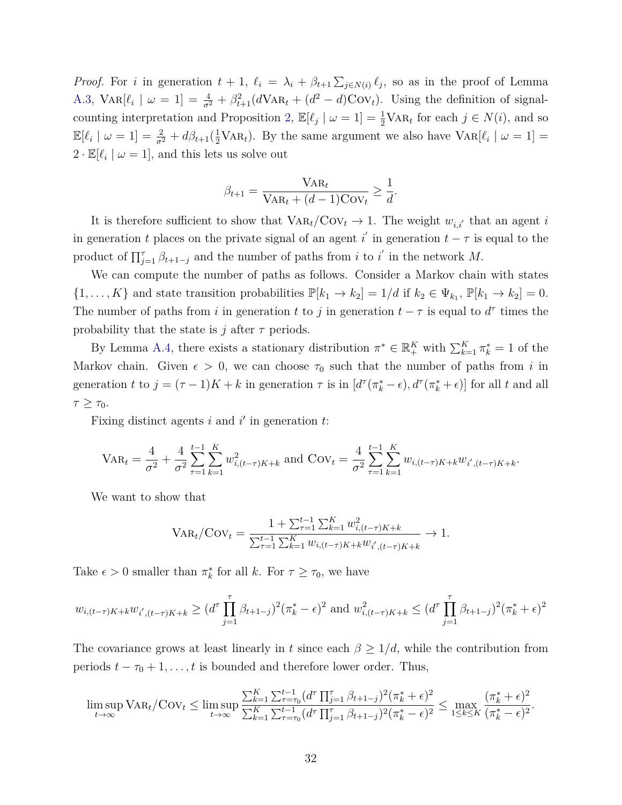*Proof.* For *i* in generation  $t + 1$ ,  $\ell_i = \lambda_i + \beta_{i+1} \sum_{j \in N(i)} \ell_j$ , so as in the proof of Lemma [A.3,](#page-30-0)  $\text{Var}[\ell_i \mid \omega = 1] = \frac{4}{\sigma^2} + \beta_{t+1}^2 (d \text{Var}_t + (d^2 - d) \text{Cov}_t)$ . Using the definition of signal-counting interpretation and Proposition [2,](#page-9-2)  $\mathbb{E}[\ell_j | \omega = 1] = \frac{1}{2} \text{VAR}_t$  for each  $j \in N(i)$ , and so  $\mathbb{E}[\ell_i \mid \omega = 1] = \frac{2}{\sigma^2} + d\beta_{t+1}(\frac{1}{2} \text{VAR}_t)$ . By the same argument we also have  $\text{VAR}[\ell_i \mid \omega = 1] =$  $2 \cdot \mathbb{E}[\ell_i \mid \omega = 1]$ , and this lets us solve out

$$
\beta_{t+1} = \frac{\text{VAR}_{t}}{\text{VAR}_{t} + (d-1)\text{Cov}_{t}} \ge \frac{1}{d}.
$$

It is therefore sufficient to show that  $\text{VaR}_t/\text{Cov}_t \to 1$ . The weight  $w_{i,i'}$  that an agent *i* in generation *t* places on the private signal of an agent  $i'$  in generation  $t - \tau$  is equal to the product of  $\prod_{j=1}^{\tau} \beta_{t+1-j}$  and the number of paths from *i* to *i*' in the network *M*.

We can compute the number of paths as follows. Consider a Markov chain with states  $\{1, \ldots, K\}$  and state transition probabilities  $\mathbb{P}[k_1 \to k_2] = 1/d$  if  $k_2 \in \Psi_{k_1}$ ,  $\mathbb{P}[k_1 \to k_2] = 0$ . The number of paths from *i* in generation *t* to *j* in generation  $t - \tau$  is equal to  $d^{\tau}$  times the probability that the state is *j* after  $\tau$  periods.

By Lemma [A.4,](#page-30-1) there exists a stationary distribution  $\pi^* \in \mathbb{R}_+^K$  with  $\sum_{k=1}^K \pi_k^* = 1$  of the Markov chain. Given  $\epsilon > 0$ , we can choose  $\tau_0$  such that the number of paths from *i* in generation t to  $j = (\tau - 1)K + k$  in generation  $\tau$  is in  $[d^{\tau}(\pi_k^* - \epsilon), d^{\tau}(\pi_k^* + \epsilon)]$  for all t and all  $τ ≥ τ_0$ .

Fixing distinct agents  $i$  and  $i'$  in generation  $t$ :

$$
VAR_{t} = \frac{4}{\sigma^{2}} + \frac{4}{\sigma^{2}} \sum_{\tau=1}^{t-1} \sum_{k=1}^{K} w_{i,(t-\tau)K+k}^{2} \text{ and } Cov_{t} = \frac{4}{\sigma^{2}} \sum_{\tau=1}^{t-1} \sum_{k=1}^{K} w_{i,(t-\tau)K+k} w_{i',(t-\tau)K+k}.
$$

We want to show that

$$
VAR_t / Cov_t = \frac{1 + \sum_{\tau=1}^{t-1} \sum_{k=1}^{K} w_{i,(t-\tau)K+k}^2}{\sum_{\tau=1}^{t-1} \sum_{k=1}^{K} w_{i,(t-\tau)K+k} w_{i',(t-\tau)K+k}} \to 1.
$$

Take  $\epsilon > 0$  smaller than  $\pi_k^*$  for all *k*. For  $\tau \ge \tau_0$ , we have

$$
w_{i,(t-\tau)K+k}w_{i',(t-\tau)K+k} \ge (d^{\tau} \prod_{j=1}^{\tau} \beta_{t+1-j})^2 (\pi_k^* - \epsilon)^2 \text{ and } w_{i,(t-\tau)K+k}^2 \le (d^{\tau} \prod_{j=1}^{\tau} \beta_{t+1-j})^2 (\pi_k^* + \epsilon)^2
$$

The covariance grows at least linearly in *t* since each  $\beta \geq 1/d$ , while the contribution from periods  $t - \tau_0 + 1, \ldots, t$  is bounded and therefore lower order. Thus,

$$
\limsup_{t \to \infty} \text{VAR}_t / \text{Cov}_t \leq \limsup_{t \to \infty} \frac{\sum_{k=1}^K \sum_{\tau=\tau_0}^{t-1} (d^\tau \prod_{j=1}^\tau \beta_{t+1-j})^2 (\pi_k^* + \epsilon)^2}{\sum_{k=1}^K \sum_{\tau=\tau_0}^{t-1} (d^\tau \prod_{j=1}^\tau \beta_{t+1-j})^2 (\pi_k^* - \epsilon)^2} \leq \max_{1 \leq k \leq K} \frac{(\pi_k^* + \epsilon)^2}{(\pi_k^* - \epsilon)^2}.
$$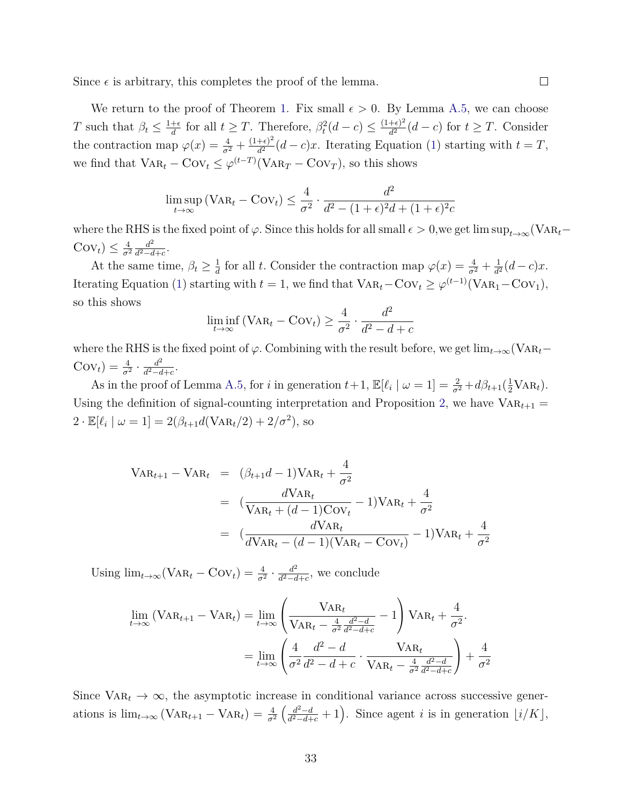Since  $\epsilon$  is arbitrary, this completes the proof of the lemma.

We return to the proof of Theorem [1.](#page-14-0) Fix small  $\epsilon > 0$ . By Lemma [A.5,](#page-31-0) we can choose *T* such that  $\beta_t \leq \frac{1+\epsilon}{d}$  $\frac{d}{dt}$  for all  $t \geq T$ . Therefore,  $\beta_t^2(d-c) \leq \frac{(1+\epsilon)^2}{d^2}$  $\frac{d}{dt^2}(d-c)$  for  $t \geq T$ . Consider the contraction map  $\varphi(x) = \frac{4}{\sigma^2} + \frac{(1+\epsilon)^2}{d^2}$  $\frac{d}{d^2}(d-c)x$ . Iterating Equation [\(1\)](#page-30-2) starting with  $t=T$ , we find that  $\text{VAR}_t - \text{Cov}_t \leq \varphi^{(t-T)}(\text{VAR}_T - \text{Cov}_T)$ , so this shows

$$
\limsup_{t \to \infty} (\text{VAR}_{t} - \text{Cov}_{t}) \le \frac{4}{\sigma^2} \cdot \frac{d^2}{d^2 - (1 + \epsilon)^2 d + (1 + \epsilon)^2 c}
$$

where the RHS is the fixed point of  $\varphi$ . Since this holds for all small  $\epsilon > 0$ , we get lim sup<sub>t→∞</sub>(VAR<sub>t</sub>−  $Cov_t$ )  $\leq \frac{4}{\sigma^2}$ *σ*<sup>2</sup>  $d^2$  $\frac{d^2}{d^2-d+c}$ .

At the same time,  $\beta_t \geq \frac{1}{d}$  $\frac{1}{d}$  for all *t*. Consider the contraction map  $\varphi(x) = \frac{4}{\sigma^2} + \frac{1}{d^2}$  $\frac{1}{d^2}(d-c)x$ . Iterating Equation [\(1\)](#page-30-2) starting with  $t = 1$ , we find that  $\text{VAR}_t - \text{Cov}_t \geq \varphi^{(t-1)}(\text{VAR}_1 - \text{Cov}_1)$ , so this shows

$$
\liminf_{t \to \infty} (\text{VAR}_t - \text{Cov}_t) \ge \frac{4}{\sigma^2} \cdot \frac{d^2}{d^2 - d + c}
$$

where the RHS is the fixed point of  $\varphi$ . Combining with the result before, we get  $\lim_{t\to\infty}$ (VAR<sub>t</sub>−  $\text{Cov}_t$ ) =  $\frac{4}{\sigma^2} \cdot \frac{d^2}{d^2 - a}$  $\frac{d^2}{d^2-d+c}$ .

As in the proof of Lemma [A.5,](#page-31-0) for *i* in generation  $t+1$ ,  $\mathbb{E}[\ell_i \mid \omega = 1] = \frac{2}{\sigma^2} + d\beta_{t+1}(\frac{1}{2} \text{VAR}_t)$ . Using the definition of signal-counting interpretation and Proposition [2,](#page-9-2) we have  $VAR<sub>t+1</sub>$  $2 \cdot \mathbb{E}[\ell_i \mid \omega = 1] = 2(\beta_{t+1}d(\text{VAR}_t/2) + 2/\sigma^2),$  so

$$
VAR_{t+1} - VAR_t = (\beta_{t+1}d - 1)VAR_t + \frac{4}{\sigma^2}
$$
  
=  $(\frac{dVAR_t}{VAR_t + (d-1)Cov_t} - 1)VAR_t + \frac{4}{\sigma^2}$   
=  $(\frac{dVAR_t}{dVAR_t - (d-1)(VAR_t - Cov_t)} - 1)VAR_t + \frac{4}{\sigma^2}$ 

Using  $\lim_{t\to\infty}(\text{VAR}_t - \text{Cov}_t) = \frac{4}{\sigma^2} \cdot \frac{d^2}{d^2 - d}$  $\frac{d^2}{d^2-d+c}$ , we conclude

$$
\lim_{t \to \infty} (\text{VAR}_{t+1} - \text{VAR}_{t}) = \lim_{t \to \infty} \left( \frac{\text{VAR}_{t}}{\text{VAR}_{t} - \frac{4}{\sigma^{2}} \frac{d^{2} - d}{d^{2} - d + c}} - 1 \right) \text{VAR}_{t} + \frac{4}{\sigma^{2}}.
$$
\n
$$
= \lim_{t \to \infty} \left( \frac{4}{\sigma^{2}} \frac{d^{2} - d}{d^{2} - d + c} \cdot \frac{\text{VAR}_{t}}{\text{VAR}_{t} - \frac{4}{\sigma^{2}} \frac{d^{2} - d}{d^{2} - d + c}} \right) + \frac{4}{\sigma^{2}}
$$

Since  $VAR_t \rightarrow \infty$ , the asymptotic increase in conditional variance across successive generations is  $\lim_{t\to\infty} (\text{VAR}_{t+1} - \text{VAR}_{t}) = \frac{4}{\sigma^2}$  $\int$ <sup>2</sup>−*d*  $\frac{d^2-d}{d^2-d+c}+1$ . Since agent *i* is in generation  $\lfloor i/K \rfloor$ ,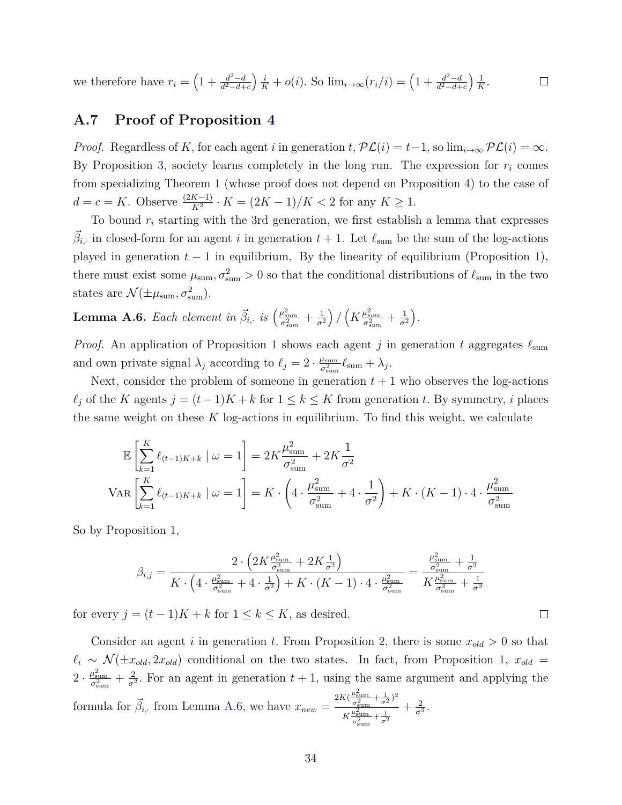we therefore have  $r_i = \left(1 + \frac{d^2 - d}{d^2 - d^2}\right)$  $\int \frac{i}{K} + o(i)$ . So  $\lim_{i \to \infty} (r_i/i) = \left(1 + \frac{d^2 - d}{d^2 - d + 1}\right)$  $\frac{1}{2}$  $\frac{1}{K}$ .  $\Box$ *d* <sup>2</sup>−*d*+*c d* <sup>2</sup>−*d*+*c*

### **A.7 Proof of Proposition [4](#page-12-3)**

*Proof.* Regardless of *K*, for each agent *i* in generation  $t$ ,  $\mathcal{PL}(i) = t-1$ , so  $\lim_{i\to\infty} \mathcal{PL}(i) = \infty$ . By Proposition [3,](#page-11-0) society learns completely in the long run. The expression for  $r_i$  comes from specializing Theorem [1](#page-14-0) (whose proof does not depend on Proposition [4\)](#page-12-3) to the case of *d* = *c* = *K*. Observe  $\frac{(2K-1)}{K^2}$  ⋅ *K* =  $\frac{(2K-1)}{K}$  /*K* < 2 for any *K* ≥ 1*.* 

To bound *r<sup>i</sup>* starting with the 3rd generation, we first establish a lemma that expresses  $\vec{\beta}_{i}$ , in closed-form for an agent *i* in generation  $t + 1$ . Let  $\ell_{\text{sum}}$  be the sum of the log-actions played in generation  $t - 1$  in equilibrium. By the linearity of equilibrium (Proposition [1\)](#page-8-1), there must exist some  $\mu_{\text{sum}}, \sigma_{\text{sum}}^2 > 0$  so that the conditional distributions of  $\ell_{\text{sum}}$  in the two states are  $\mathcal{N}(\pm\mu_{\text{sum}}, \sigma_{\text{sum}}^2)$ .

<span id="page-34-0"></span> $\textbf{Lemma A.6.}$  *Each element in*  $\vec{\beta}_{i, \cdot}$  *is*  $\left(\frac{\mu_{sum}^2}{\sigma_{sum}^2} + \frac{1}{\sigma^2}\right)$ *σ*<sup>2</sup>  $\left(\frac{1}{K}\frac{\mu_{sum}^{2}}{\sigma_{sum}^{2}} + \frac{1}{\sigma^{2}}\right)$ *σ*<sup>2</sup> *.*

*Proof.* An application of Proposition [1](#page-8-1) shows each agent *j* in generation *t* aggregates *ℓ*sum and own private signal  $\lambda_j$  according to  $\ell_j = 2 \cdot \frac{\mu_{\text{sum}}}{\sigma^2}$  $\frac{u_{\text{sum}}}{\sigma_{\text{sum}}^2} \ell_{\text{sum}} + \lambda_j$ .

Next, consider the problem of someone in generation  $t + 1$  who observes the log-actions  $\ell_j$  of the *K* agents  $j = (t-1)K + k$  for  $1 \leq k \leq K$  from generation *t*. By symmetry, *i* places the same weight on these *K* log-actions in equilibrium. To find this weight, we calculate

$$
\mathbb{E}\left[\sum_{k=1}^{K} \ell_{(t-1)K+k} \mid \omega = 1\right] = 2K \frac{\mu_{\text{sum}}^2}{\sigma_{\text{sum}}^2} + 2K \frac{1}{\sigma^2}
$$
  
VAR  $\left[\sum_{k=1}^{K} \ell_{(t-1)K+k} \mid \omega = 1\right] = K \cdot \left(4 \cdot \frac{\mu_{\text{sum}}^2}{\sigma_{\text{sum}}^2} + 4 \cdot \frac{1}{\sigma^2}\right) + K \cdot (K - 1) \cdot 4 \cdot \frac{\mu_{\text{sum}}^2}{\sigma_{\text{sum}}^2}$ 

So by Proposition [1,](#page-8-1)

$$
\beta_{i,j}=\frac{2\cdot\left(2K\frac{\mu_{\mathrm{sum}}^2}{\sigma_{\mathrm{sum}}^2}+2K\frac{1}{\sigma^2}\right)}{K\cdot\left(4\cdot\frac{\mu_{\mathrm{sum}}^2}{\sigma_{\mathrm{sum}}^2}+4\cdot\frac{1}{\sigma^2}\right)+K\cdot\left(K-1\right)\cdot4\cdot\frac{\mu_{\mathrm{sum}}^2}{\sigma_{\mathrm{sum}}^2}}=\frac{\frac{\mu_{\mathrm{sum}}^2}{\sigma_{\mathrm{sum}}^2}+\frac{1}{\sigma^2}}{K\frac{\mu_{\mathrm{sum}}^2}{\sigma_{\mathrm{sum}}^2}+\frac{1}{\sigma^2}}
$$

for every  $j = (t-1)K + k$  for  $1 \leq k \leq K$ , as desired.

Consider an agent *i* in generation *t*. From Proposition [2,](#page-9-2) there is some  $x_{old} > 0$  so that  $\ell_i \sim \mathcal{N}(\pm x_{old}, 2x_{old})$  conditional on the two states. In fact, from Proposition [1,](#page-8-1)  $x_{old}$  =  $2\cdot\frac{\mu^2_{\mathrm{sum}}}{\sigma^2_{\mathrm{sum}}}+\frac{2}{\sigma^2}$  $\frac{2}{\sigma^2}$ . For an agent in generation  $t + 1$ , using the same argument and applying the formula for  $\vec{\beta}_i$ , from Lemma [A.6,](#page-34-0) we have  $x_{new} = \frac{2K(\frac{\mu_{sum}^2}{\sigma_{sum}^2} + \frac{1}{\sigma^2})^2}{2\sigma^2}$  $K \frac{\mu_{\text{sum}}^2}{\sigma_{\text{sum}}^2} + \frac{1}{\sigma^2}$  $+\frac{2}{\sigma^2}$  $\frac{2}{\sigma^2}$ .

 $\Box$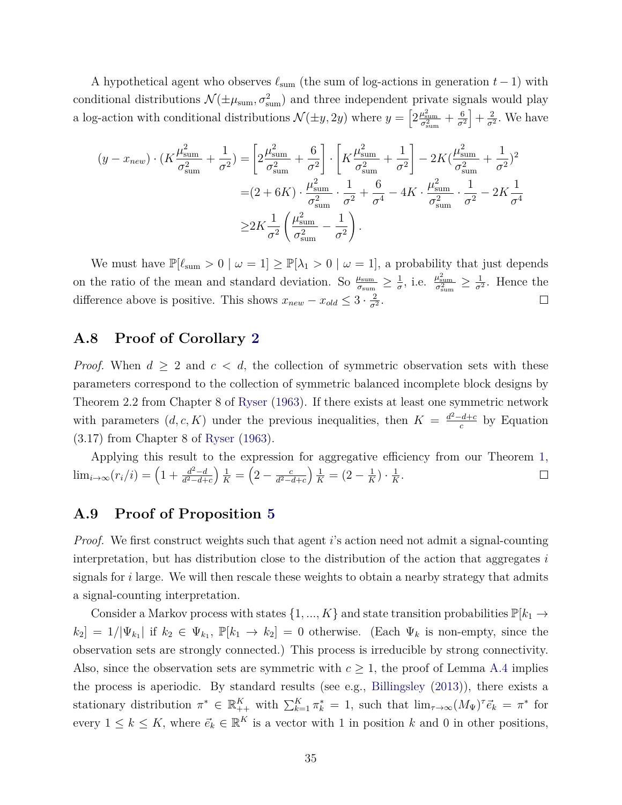A hypothetical agent who observes *ℓ*sum (the sum of log-actions in generation *t* − 1) with conditional distributions  $\mathcal{N}(\pm \mu_{\text{sum}}, \sigma_{\text{sum}}^2)$  and three independent private signals would play a log-action with conditional distributions  $\mathcal{N}(\pm y, 2y)$  where  $y = \left[2\frac{\mu_{\text{sum}}^2}{\sigma_{\text{sum}}^2} + \frac{6}{\sigma^2}\right]$ *σ*<sup>2</sup>  $+\frac{2}{\sigma^2}$  $\frac{2}{\sigma^2}$ . We have

$$
(y - x_{new}) \cdot (K \frac{\mu_{\text{sum}}^2}{\sigma_{\text{sum}}^2} + \frac{1}{\sigma^2}) = \left[ 2 \frac{\mu_{\text{sum}}^2}{\sigma_{\text{sum}}^2} + \frac{6}{\sigma^2} \right] \cdot \left[ K \frac{\mu_{\text{sum}}^2}{\sigma_{\text{sum}}^2} + \frac{1}{\sigma^2} \right] - 2K(\frac{\mu_{\text{sum}}^2}{\sigma_{\text{sum}}^2} + \frac{1}{\sigma^2})^2
$$
  
=  $(2 + 6K) \cdot \frac{\mu_{\text{sum}}^2}{\sigma_{\text{sum}}^2} \cdot \frac{1}{\sigma^2} + \frac{6}{\sigma^4} - 4K \cdot \frac{\mu_{\text{sum}}^2}{\sigma_{\text{sum}}^2} \cdot \frac{1}{\sigma^2} - 2K \frac{1}{\sigma^4}$   
 $\geq 2K \frac{1}{\sigma^2} \left( \frac{\mu_{\text{sum}}^2}{\sigma_{\text{sum}}^2} - \frac{1}{\sigma^2} \right).$ 

We must have  $\mathbb{P}[\ell_{\text{sum}} > 0 \mid \omega = 1] \geq \mathbb{P}[\lambda_1 > 0 \mid \omega = 1]$ , a probability that just depends  $\frac{1}{\sigma}$ , i.e.  $\frac{\mu_{\text{sum}}^2}{\sigma_{\text{sum}}^2} \geq \frac{1}{\sigma^2}$ on the ratio of the mean and standard deviation. So  $\frac{\mu_{\text{sum}}}{\sigma_{\text{sum}}} \geq \frac{1}{\sigma}$  $\frac{1}{\sigma^2}$ . Hence the difference above is positive. This shows  $x_{new} - x_{old} \leq 3 \cdot \frac{2}{\sigma^2}$  $\frac{2}{\sigma^2}$ .  $\Box$ 

### **A.8 Proof of Corollary [2](#page-16-0)**

*Proof.* When  $d \geq 2$  and  $c < d$ , the collection of symmetric observation sets with these parameters correspond to the collection of symmetric balanced incomplete block designs by Theorem 2.2 from Chapter 8 of [Ryser](#page-26-7) [\(1963\)](#page-26-7). If there exists at least one symmetric network with parameters  $(d, c, K)$  under the previous inequalities, then  $K = \frac{d^2 - d + c}{c}$  $\frac{c}{c}$  by Equation (3.17) from Chapter 8 of [Ryser](#page-26-7) [\(1963\)](#page-26-7).

Applying this result to the expression for aggregative efficiency from our Theorem [1,](#page-14-0)  $\lim_{i \to \infty} (r_i/i) = \left(1 + \frac{d^2 - d}{d^2 - d + 1}\right)$  $\left(2 - \frac{c}{d^2 - c}\right)$  $\frac{1}{K} = (2 - \frac{1}{K})$  $\frac{1}{K}$ )  $\cdot$   $\frac{1}{K}$  $\frac{1}{K}$ .  $\Box$ *d* <sup>2</sup>−*d*+*c d* <sup>2</sup>−*d*+*c*

#### **A.9 Proof of Proposition [5](#page-16-1)**

*Proof.* We first construct weights such that agent *i*'s action need not admit a signal-counting interpretation, but has distribution close to the distribution of the action that aggregates *i* signals for *i* large. We will then rescale these weights to obtain a nearby strategy that admits a signal-counting interpretation.

Consider a Markov process with states  $\{1, ..., K\}$  and state transition probabilities  $\mathbb{P}[k_1 \to \infty]$  $k_2$  = 1/ $|\Psi_{k_1}|$  if  $k_2 \in \Psi_{k_1}$ ,  $\mathbb{P}[k_1 \to k_2] = 0$  otherwise. (Each  $\Psi_k$  is non-empty, since the observation sets are strongly connected.) This process is irreducible by strong connectivity. Also, since the observation sets are symmetric with  $c \geq 1$ , the proof of Lemma [A.4](#page-30-1) implies the process is aperiodic. By standard results (see e.g., [Billingsley](#page-24-13) [\(2013\)](#page-24-13)), there exists a stationary distribution  $\pi^* \in \mathbb{R}_{++}^K$  with  $\sum_{k=1}^K \pi_k^* = 1$ , such that  $\lim_{\tau \to \infty} (M_{\Psi})^{\tau} \vec{e}_k = \pi^*$  for every  $1 \leq k \leq K$ , where  $\vec{e}_k \in \mathbb{R}^K$  is a vector with 1 in position *k* and 0 in other positions,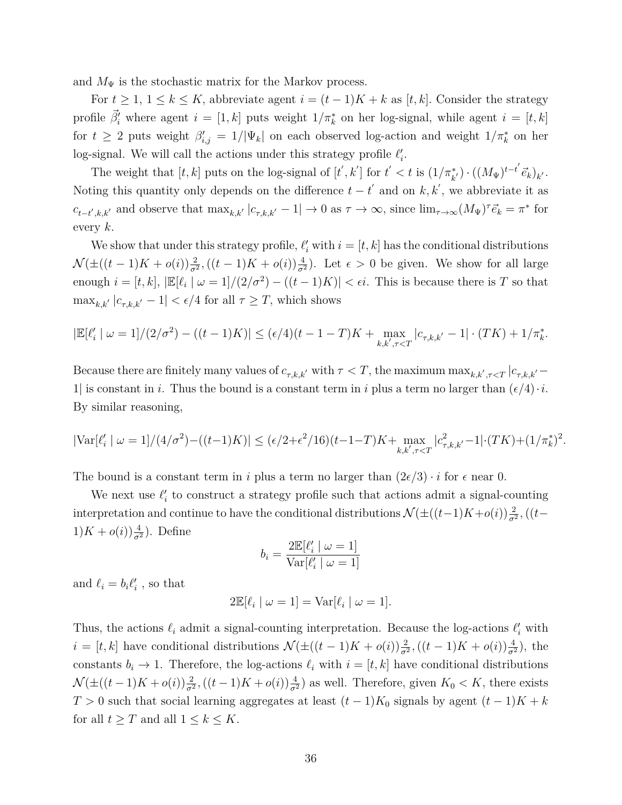and  $M_{\Psi}$  is the stochastic matrix for the Markov process.

For  $t \geq 1, 1 \leq k \leq K$ , abbreviate agent  $i = (t-1)K + k$  as [ $t, k$ ]. Consider the strategy profile  $\vec{\beta}'_i$  where agent  $i = [1, k]$  puts weight  $1/\pi^*_k$  on her log-signal, while agent  $i = [t, k]$ for  $t \geq 2$  puts weight  $\beta'_{i,j} = 1/|\Psi_k|$  on each observed log-action and weight  $1/\pi_k^*$  on her log-signal. We will call the actions under this strategy profile  $\ell'_i$ .

The weight that  $[t, k]$  puts on the log-signal of  $[t', k']$  for  $t' < t$  is  $(1/\pi_{k'}^*) \cdot ((M_{\Psi})^{t-t'} \vec{e}_k)_{k'}$ . Noting this quantity only depends on the difference  $t - t'$  and on  $k, k'$ , we abbreviate it as  $c_{t-t',k,k'}$  and observe that  $\max_{k,k'} |c_{\tau,k,k'} - 1| \to 0$  as  $\tau \to \infty$ , since  $\lim_{\tau \to \infty} (M_{\Psi})^{\tau} \vec{e}_k = \pi^*$  for every *k.*

We show that under this strategy profile,  $\ell'_i$  with  $i = [t, k]$  has the conditional distributions  $\mathcal{N}(\pm((t-1)K + o(i))\frac{2}{\sigma^2}, ((t-1)K + o(i))\frac{4}{\sigma^2})$ . Let  $\epsilon > 0$  be given. We show for all large enough  $i = [t, k]$ ,  $|\mathbb{E}[\ell_i \mid \omega = 1]/(2/\sigma^2) - ((t - 1)K)| < \epsilon i$ . This is because there is *T* so that  $\max_{k,k'} |c_{\tau,k,k'} - 1| < \epsilon/4$  for all  $\tau \geq T$ , which shows

$$
|\mathbb{E}[\ell_i' \mid \omega = 1]/(2/\sigma^2) - ((t-1)K)| \le (\epsilon/4)(t-1-T)K + \max_{k,k',\tau < T} |c_{\tau,k,k'} - 1| \cdot (TK) + 1/\pi_k^*.
$$

Because there are finitely many values of  $c_{\tau,k,k'}$  with  $\tau < T$ , the maximum  $\max_{k,k',\tau < T} |c_{\tau,k,k'}|$ 1| is constant in *i*. Thus the bound is a constant term in *i* plus a term no larger than  $(\epsilon/4) \cdot i$ . By similar reasoning,

$$
|\text{Var}[\ell_i' \mid \omega = 1]/(4/\sigma^2) - ((t-1)K)| \le (\epsilon/2 + \epsilon^2/16)(t-1-T)K + \max_{k,k',\tau < T} |c_{\tau,k,k'}^2 - 1| \cdot (TK) + (1/\pi_k^*)^2.
$$

The bound is a constant term in *i* plus a term no larger than  $(2\epsilon/3) \cdot i$  for  $\epsilon$  near 0.

We next use  $\ell'_i$  to construct a strategy profile such that actions admit a signal-counting interpretation and continue to have the conditional distributions  $\mathcal{N}(\pm((t-1)K+o(i))\frac{2}{\sigma^2})$ ,  $((t 1)K + o(i)\frac{4}{\sigma^2}$ ). Define

$$
b_i = \frac{2\mathbb{E}[\ell_i' \mid \omega = 1]}{\text{Var}[\ell_i' \mid \omega = 1]}
$$

and  $\ell_i = b_i \ell'_i$ , so that

$$
2\mathbb{E}[\ell_i \mid \omega = 1] = \text{Var}[\ell_i \mid \omega = 1].
$$

Thus, the actions  $\ell_i$  admit a signal-counting interpretation. Because the log-actions  $\ell'_i$  with  $i = [t, k]$  have conditional distributions  $\mathcal{N}(\pm((t-1)K + o(i))\frac{2}{\sigma^2}, ((t-1)K + o(i))\frac{4}{\sigma^2})$ , the constants  $b_i \to 1$ . Therefore, the log-actions  $\ell_i$  with  $i = [t, k]$  have conditional distributions  $\mathcal{N}(\pm((t-1)K + o(i))\frac{2}{\sigma^2}, ((t-1)K + o(i))\frac{4}{\sigma^2})$  as well. Therefore, given  $K_0 < K$ , there exists  $T > 0$  such that social learning aggregates at least  $(t-1)K_0$  signals by agent  $(t-1)K + k$ for all  $t \geq T$  and all  $1 \leq k \leq K$ .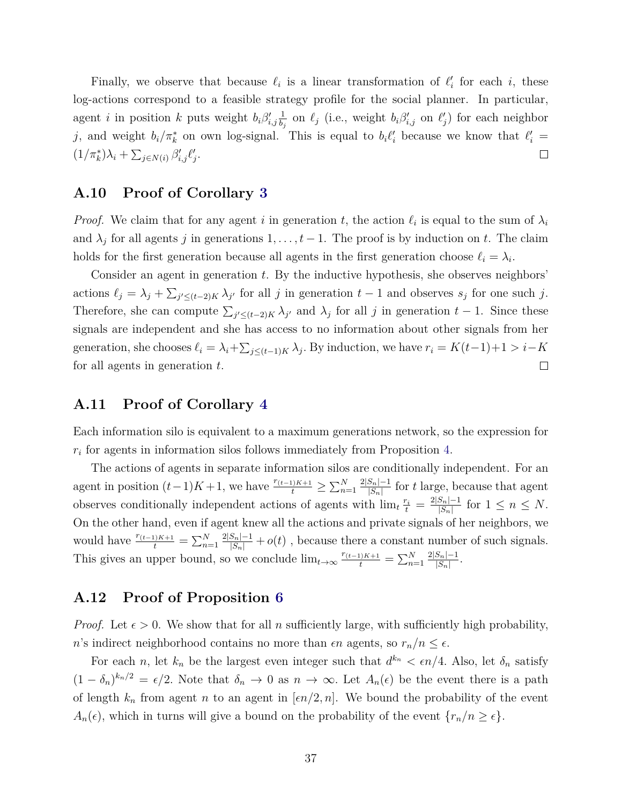Finally, we observe that because  $\ell_i$  is a linear transformation of  $\ell'_i$  for each *i*, these log-actions correspond to a feasible strategy profile for the social planner. In particular, agent *i* in position *k* puts weight  $b_i \beta'_{i,j} \frac{1}{b_j}$  $\frac{1}{b_j}$  on  $\ell_j$  (i.e., weight  $b_i \beta'_{i,j}$  on  $\ell'_j$ ) for each neighbor *j*, and weight  $b_i/\pi_k^*$  on own log-signal. This is equal to  $b_i l'_i$  because we know that  $l'_i$  =  $(1/\pi_k^*)\lambda_i + \sum_{j \in N(i)} \beta'_{i,j} \ell'_j.$  $\Box$ 

### **A.10 Proof of Corollary [3](#page-17-1)**

*Proof.* We claim that for any agent *i* in generation *t*, the action  $\ell_i$  is equal to the sum of  $\lambda_i$ and  $\lambda_j$  for all agents *j* in generations  $1, \ldots, t-1$ . The proof is by induction on *t*. The claim holds for the first generation because all agents in the first generation choose  $\ell_i = \lambda_i$ .

Consider an agent in generation *t*. By the inductive hypothesis, she observes neighbors' actions  $\ell_j = \lambda_j + \sum_{j' \leq (t-2)K} \lambda_{j'}$  for all *j* in generation  $t-1$  and observes  $s_j$  for one such *j*. Therefore, she can compute  $\sum_{j' \leq (t-2)K} \lambda_{j'}$  and  $\lambda_j$  for all *j* in generation  $t-1$ . Since these signals are independent and she has access to no information about other signals from her generation, she chooses  $\ell_i = \lambda_i + \sum_{j \leq (t-1)K} \lambda_j$ . By induction, we have  $r_i = K(t-1)+1 > i-K$ for all agents in generation *t*.  $\Box$ 

### **A.11 Proof of Corollary [4](#page-19-3)**

Each information silo is equivalent to a maximum generations network, so the expression for *ri* for agents in information silos follows immediately from Proposition [4.](#page-12-3)

The actions of agents in separate information silos are conditionally independent. For an agent in position  $(t-1)K+1$ , we have  $\frac{r_{(t-1)K+1}}{t} \ge \sum_{n=1}^{N} \frac{2|S_n|-1}{|S_n|}$  $\frac{|S_n|-1}{|S_n|}$  for *t* large, because that agent observes conditionally independent actions of agents with  $\lim_{t \to t} \frac{r_i}{t} = \frac{2|S_n| - 1}{|S_n|}$  $\frac{|S_n|-1}{|S_n|}$  for  $1 \leq n \leq N$ . On the other hand, even if agent knew all the actions and private signals of her neighbors, we would have  $\frac{r_{(t-1)K+1}}{t} = \sum_{n=1}^{N} \frac{2|S_n| - 1}{|S_n|} + o(t)$ , because there a constant number of such signals. This gives an upper bound, so we conclude  $\lim_{t\to\infty} \frac{r_{(t-1)K+1}}{t} = \sum_{n=1}^{N} \frac{2|S_n| - 1}{|S_n|}$  $\frac{|S_n|-1}{|S_n|}$ .

### **A.12 Proof of Proposition [6](#page-21-0)**

*Proof.* Let  $\epsilon > 0$ . We show that for all *n* sufficiently large, with sufficiently high probability, *n*'s indirect neighborhood contains no more than  $\epsilon n$  agents, so  $r_n/n \leq \epsilon$ .

For each *n*, let  $k_n$  be the largest even integer such that  $d^{k_n} < \epsilon n/4$ . Also, let  $\delta_n$  satisfy  $(1 - \delta_n)^{k_n/2} = \epsilon/2$ . Note that  $\delta_n \to 0$  as  $n \to \infty$ . Let  $A_n(\epsilon)$  be the event there is a path of length  $k_n$  from agent *n* to an agent in  $\lfloor \epsilon n/2, n \rfloor$ . We bound the probability of the event  $A_n(\epsilon)$ , which in turns will give a bound on the probability of the event  $\{r_n/n \geq \epsilon\}$ .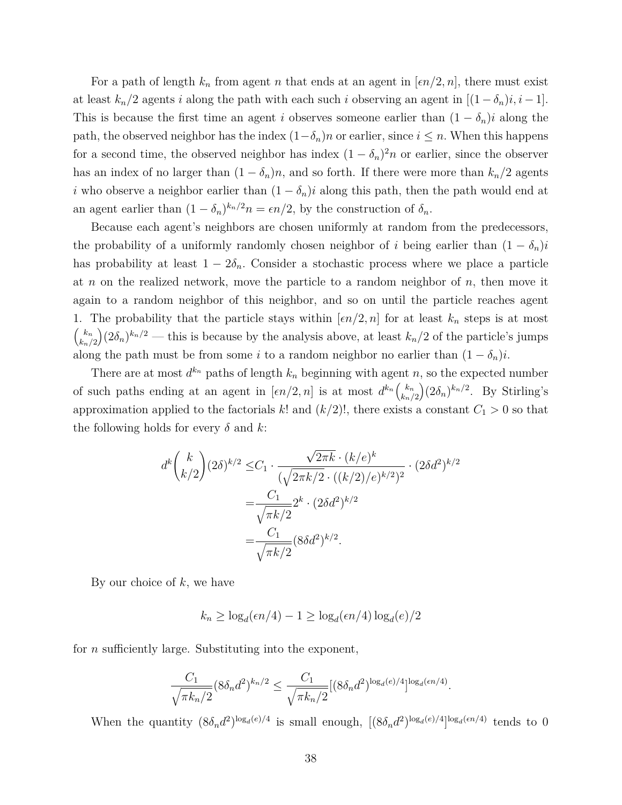For a path of length  $k_n$  from agent *n* that ends at an agent in  $\lfloor \epsilon n/2, n \rfloor$ , there must exist at least  $k_n/2$  agents *i* along the path with each such *i* observing an agent in  $[(1 - \delta_n)i, i - 1]$ . This is because the first time an agent *i* observes someone earlier than  $(1 - \delta_n)i$  along the path, the observed neighbor has the index  $(1-\delta_n)n$  or earlier, since  $i \leq n$ . When this happens for a second time, the observed neighbor has index  $(1 - \delta_n)^2 n$  or earlier, since the observer has an index of no larger than  $(1 - \delta_n)n$ , and so forth. If there were more than  $k_n/2$  agents *i* who observe a neighbor earlier than  $(1 - \delta_n)i$  along this path, then the path would end at an agent earlier than  $(1 - \delta_n)^{k_n/2} n = \epsilon n/2$ , by the construction of  $\delta_n$ .

Because each agent's neighbors are chosen uniformly at random from the predecessors, the probability of a uniformly randomly chosen neighbor of *i* being earlier than  $(1 - \delta_n)i$ has probability at least  $1 - 2\delta_n$ . Consider a stochastic process where we place a particle at *n* on the realized network, move the particle to a random neighbor of *n,* then move it again to a random neighbor of this neighbor, and so on until the particle reaches agent 1. The probability that the particle stays within  $\lfloor \epsilon n/2, n \rfloor$  for at least  $k_n$  steps is at most  $\left( k_n \right)$ *kn/*2  $(2\delta_n)^{k_n/2}$  — this is because by the analysis above, at least  $k_n/2$  of the particle's jumps along the path must be from some *i* to a random neighbor no earlier than  $(1 - \delta_n)i$ .

There are at most  $d^{k_n}$  paths of length  $k_n$  beginning with agent *n*, so the expected number of such paths ending at an agent in  $[\epsilon n/2, n]$  is at most  $d^{k_n} \begin{pmatrix} k_n \\ k \end{pmatrix}$ *kn/*2  $\int (2\delta_n)^{k_n/2}$ . By Stirling's approximation applied to the factorials *k*! and  $(k/2)$ !, there exists a constant  $C_1 > 0$  so that the following holds for every *δ* and *k*:

$$
d^{k} {k \choose k/2} (2\delta)^{k/2} \leq C_{1} \cdot \frac{\sqrt{2\pi k} \cdot (k/e)^{k}}{(\sqrt{2\pi k/2} \cdot ((k/2)/e)^{k/2})^{2}} \cdot (2\delta d^{2})^{k/2}
$$

$$
= \frac{C_{1}}{\sqrt{\pi k/2}} 2^{k} \cdot (2\delta d^{2})^{k/2}
$$

$$
= \frac{C_{1}}{\sqrt{\pi k/2}} (8\delta d^{2})^{k/2}.
$$

By our choice of *k*, we have

$$
k_n \ge \log_d(\epsilon n/4) - 1 \ge \log_d(\epsilon n/4) \log_d(e)/2
$$

for *n* sufficiently large. Substituting into the exponent,

$$
\frac{C_1}{\sqrt{\pi k_n/2}} (8\delta_n d^2)^{k_n/2} \le \frac{C_1}{\sqrt{\pi k_n/2}} [(8\delta_n d^2)^{\log_d(e)/4}]^{\log_d(en/4)}.
$$

When the quantity  $(8\delta_n d^2)^{\log_d(e)/4}$  is small enough,  $[(8\delta_n d^2)^{\log_d(e)/4}]^{\log_d(e)/4}$  tends to 0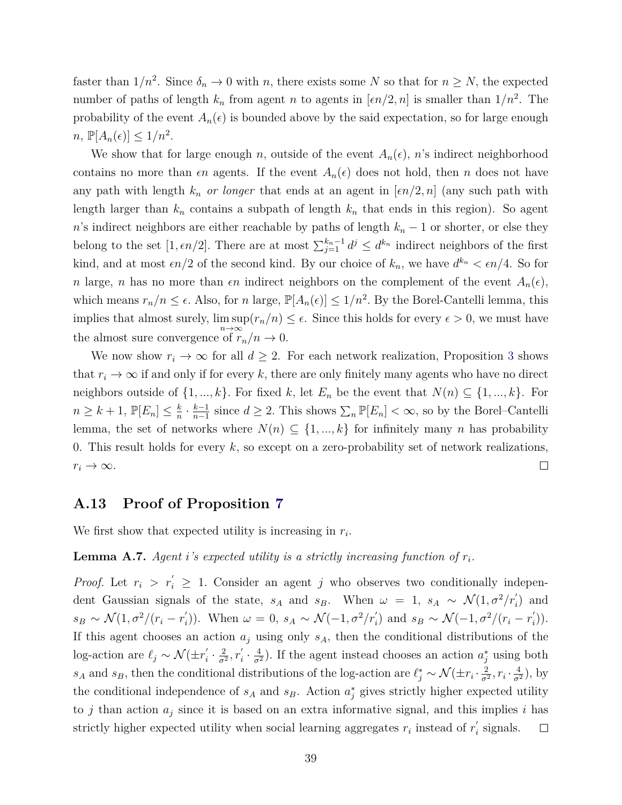faster than  $1/n^2$ . Since  $\delta_n \to 0$  with *n*, there exists some *N* so that for  $n \geq N$ , the expected number of paths of length  $k_n$  from agent *n* to agents in  $[\epsilon n/2, n]$  is smaller than  $1/n^2$ . The probability of the event  $A_n(\epsilon)$  is bounded above by the said expectation, so for large enough  $n, \mathbb{P}[A_n(\epsilon)] \leq 1/n^2.$ 

We show that for large enough *n*, outside of the event  $A_n(\epsilon)$ , *n*'s indirect neighborhood contains no more than  $\epsilon n$  agents. If the event  $A_n(\epsilon)$  does not hold, then *n* does not have any path with length  $k_n$  *or longer* that ends at an agent in  $\lfloor \epsilon n/2, n \rfloor$  (any such path with length larger than  $k_n$  contains a subpath of length  $k_n$  that ends in this region). So agent *n*'s indirect neighbors are either reachable by paths of length  $k_n - 1$  or shorter, or else they belong to the set  $[1, \epsilon n/2]$ . There are at most  $\sum_{j=1}^{k_n-1} d^j \leq d^{k_n}$  indirect neighbors of the first kind, and at most  $\epsilon n/2$  of the second kind. By our choice of  $k_n$ , we have  $d^{k_n} < \epsilon n/4$ . So for *n* large, *n* has no more than  $\epsilon n$  indirect neighbors on the complement of the event  $A_n(\epsilon)$ , which means  $r_n/n \leq \epsilon$ . Also, for *n* large,  $\mathbb{P}[A_n(\epsilon)] \leq 1/n^2$ . By the Borel-Cantelli lemma, this implies that almost surely,  $\limsup(r_n/n) \leq \epsilon$ . Since this holds for every  $\epsilon > 0$ , we must have the almost sure convergence of  $r_n/n \to 0$ .

We now show  $r_i \to \infty$  for all  $d \geq 2$ . For each network realization, Proposition [3](#page-11-0) shows that  $r_i \to \infty$  if and only if for every k, there are only finitely many agents who have no direct neighbors outside of  $\{1, ..., k\}$ . For fixed *k*, let  $E_n$  be the event that  $N(n) \subseteq \{1, ..., k\}$ . For  $n \geq k+1, \, \mathbb{P}[E_n] \leq \frac{k}{n}$  $\frac{k-1}{n-1}$  since  $d \ge 2$ . This shows  $\sum_{n} \mathbb{P}[E_n] < \infty$ , so by the Borel–Cantelli  $\frac{k}{n} \cdot \frac{k-1}{n-1}$ lemma, the set of networks where  $N(n) \subseteq \{1, ..., k\}$  for infinitely many *n* has probability 0. This result holds for every *k*, so except on a zero-probability set of network realizations,  $\Box$  $r_i \rightarrow \infty$ .

### **A.13 Proof of Proposition [7](#page-22-1)**

We first show that expected utility is increasing in *r<sup>i</sup>* .

#### <span id="page-39-0"></span>**Lemma A.7.** Agent *i*'s expected utility is a strictly increasing function of  $r_i$ .

*Proof.* Let  $r_i > r'_i \geq 1$ . Consider an agent *j* who observes two conditionally independent Gaussian signals of the state,  $s_A$  and  $s_B$ . When  $\omega = 1$ ,  $s_A \sim \mathcal{N}(1, \sigma^2/r'_i)$  and  $s_B \sim \mathcal{N}(1, \sigma^2/(r_i - r'_i))$ *i*)). When  $\omega = 0$ ,  $s_A \sim \mathcal{N}(-1, \sigma^2/r_i')$  and  $s_B \sim \mathcal{N}(-1, \sigma^2/(r_i - r_i')')$ *i* )). If this agent chooses an action  $a_j$  using only  $s_A$ , then the conditional distributions of the log-action are  $\ell_j \sim \mathcal{N}(\pm r'_i)$  $\frac{2}{\sigma^2}$ ,  $r_i'$  $\frac{2}{i} \cdot \frac{2}{\sigma^2}$  $\frac{7}{4} \cdot \frac{4}{\sigma^2}$ ). If the agent instead chooses an action  $a_j^*$  using both *s*<sub>*A*</sub> and *s*<sub>*B*</sub>, then the conditional distributions of the log-action are  $\ell_j^* \sim \mathcal{N}(\pm r_i \cdot \frac{2}{\sigma_j^2})$  $\frac{2}{\sigma^2}$ ,  $r_i \cdot \frac{4}{\sigma^2}$ ), by the conditional independence of  $s_A$  and  $s_B$ . Action  $a_j^*$  gives strictly higher expected utility to *j* than action  $a_i$  since it is based on an extra informative signal, and this implies *i* has strictly higher expected utility when social learning aggregates  $r_i$  instead of  $r'_i$ *i* signals.  $\Box$